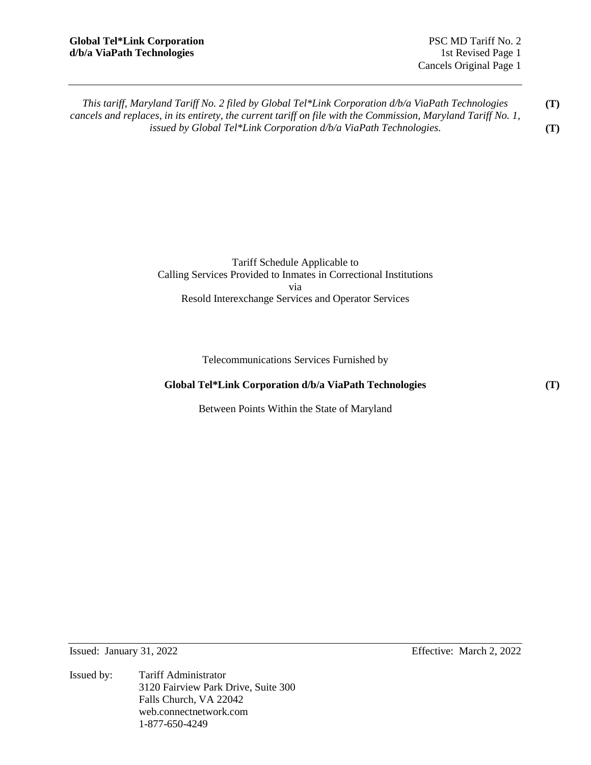*This tariff, Maryland Tariff No. 2 filed by Global Tel\*Link Corporation d/b/a ViaPath Technologies cancels and replaces, in its entirety, the current tariff on file with the Commission, Maryland Tariff No. 1, issued by Global Tel\*Link Corporation d/b/a ViaPath Technologies.*  **(T) (T)** 

> Tariff Schedule Applicable to Calling Services Provided to Inmates in Correctional Institutions via Resold Interexchange Services and Operator Services

> > Telecommunications Services Furnished by

# **Global Tel\*Link Corporation d/b/a ViaPath Technologies**

Between Points Within the State of Maryland

Issued: January 31, 2022 Effective: March 2, 2022

Issued by: Tariff Administrator 3120 Fairview Park Drive, Suite 300 Falls Church, VA 22042 web.connectnetwork.com 1-877-650-4249

**(T)**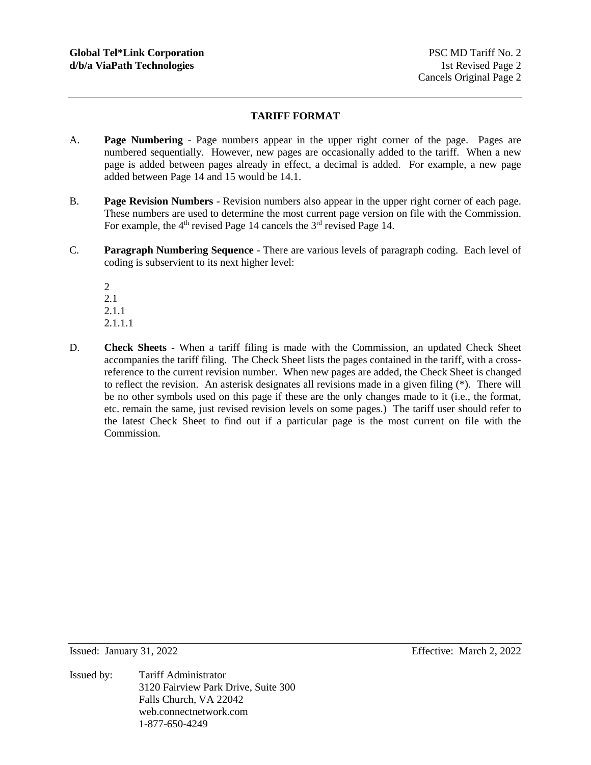## **TARIFF FORMAT**

- A. **Page Numbering** Page numbers appear in the upper right corner of the page. Pages are numbered sequentially. However, new pages are occasionally added to the tariff. When a new page is added between pages already in effect, a decimal is added. For example, a new page added between Page 14 and 15 would be 14.1.
- B. **Page Revision Numbers** Revision numbers also appear in the upper right corner of each page. These numbers are used to determine the most current page version on file with the Commission. For example, the  $4<sup>th</sup>$  revised Page 14 cancels the  $3<sup>rd</sup>$  revised Page 14.
- C. **Paragraph Numbering Sequence** There are various levels of paragraph coding. Each level of coding is subservient to its next higher level:

2 2.1 2.1.1 2.1.1.1

D. **Check Sheets** - When a tariff filing is made with the Commission, an updated Check Sheet accompanies the tariff filing. The Check Sheet lists the pages contained in the tariff, with a crossreference to the current revision number. When new pages are added, the Check Sheet is changed to reflect the revision. An asterisk designates all revisions made in a given filing (\*). There will be no other symbols used on this page if these are the only changes made to it (i.e., the format, etc. remain the same, just revised revision levels on some pages.) The tariff user should refer to the latest Check Sheet to find out if a particular page is the most current on file with the Commission.

Issued: January 31, 2022 Effective: March 2, 2022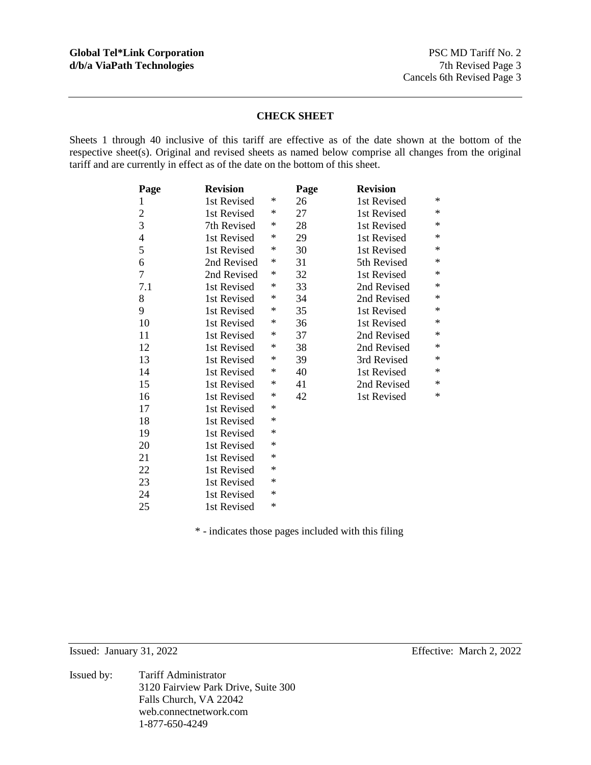## **CHECK SHEET**

Sheets 1 through 40 inclusive of this tariff are effective as of the date shown at the bottom of the respective sheet(s). Original and revised sheets as named below comprise all changes from the original tariff and are currently in effect as of the date on the bottom of this sheet.

| Page           | <b>Revision</b> |   | Page | <b>Revision</b> |        |
|----------------|-----------------|---|------|-----------------|--------|
| 1              | 1st Revised     | ∗ | 26   | 1st Revised     | ∗      |
| $\mathfrak{2}$ | 1st Revised     | ∗ | 27   | 1st Revised     | ∗      |
| 3              | 7th Revised     | ∗ | 28   | 1st Revised     | ∗      |
| $\overline{4}$ | 1st Revised     | * | 29   | 1st Revised     | $\ast$ |
| 5              | 1st Revised     | * | 30   | 1st Revised     | ∗      |
| 6              | 2nd Revised     | ∗ | 31   | 5th Revised     | $\ast$ |
| 7              | 2nd Revised     | * | 32   | 1st Revised     | $\ast$ |
| 7.1            | 1st Revised     | ∗ | 33   | 2nd Revised     | ∗      |
| 8              | 1st Revised     | ∗ | 34   | 2nd Revised     | $\ast$ |
| 9              | 1st Revised     | ∗ | 35   | 1st Revised     | ∗      |
| 10             | 1st Revised     | ∗ | 36   | 1st Revised     | ∗      |
| 11             | 1st Revised     | ∗ | 37   | 2nd Revised     | ∗      |
| 12             | 1st Revised     | * | 38   | 2nd Revised     | ∗      |
| 13             | 1st Revised     | ∗ | 39   | 3rd Revised     | $\ast$ |
| 14             | 1st Revised     | ∗ | 40   | 1st Revised     | ∗      |
| 15             | 1st Revised     | ∗ | 41   | 2nd Revised     | $\ast$ |
| 16             | 1st Revised     | ∗ | 42   | 1st Revised     | $\ast$ |
| 17             | 1st Revised     | ∗ |      |                 |        |
| 18             | 1st Revised     | ∗ |      |                 |        |
| 19             | 1st Revised     | * |      |                 |        |
| 20             | 1st Revised     | * |      |                 |        |
| 21             | 1st Revised     | ∗ |      |                 |        |
| 22             | 1st Revised     | ∗ |      |                 |        |
| 23             | 1st Revised     | * |      |                 |        |
| 24             | 1st Revised     | * |      |                 |        |
| 25             | 1st Revised     | * |      |                 |        |

\* - indicates those pages included with this filing

Issued: January 31, 2022 Effective: March 2, 2022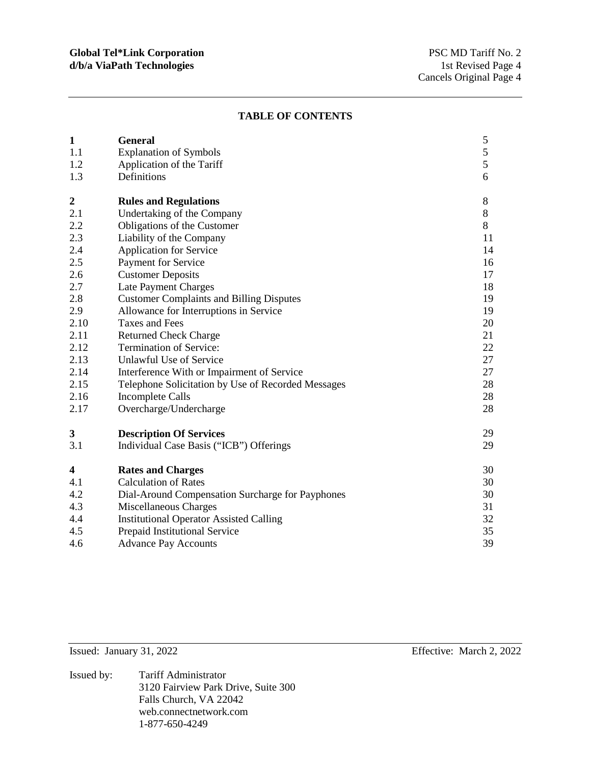#### **TABLE OF CONTENTS**

| $\mathbf{1}$     | <b>General</b>                                     | 5             |
|------------------|----------------------------------------------------|---------------|
| 1.1              | <b>Explanation of Symbols</b>                      | 5             |
| 1.2              | Application of the Tariff                          | $\mathfrak s$ |
| 1.3              | Definitions                                        | 6             |
| $\boldsymbol{2}$ | <b>Rules and Regulations</b>                       | 8             |
| 2.1              | Undertaking of the Company                         | $8\,$         |
| 2.2              | Obligations of the Customer                        | $8\,$         |
| 2.3              | Liability of the Company                           | 11            |
| 2.4              | <b>Application for Service</b>                     | 14            |
| 2.5              | Payment for Service                                | 16            |
| 2.6              | <b>Customer Deposits</b>                           | 17            |
| 2.7              | Late Payment Charges                               | 18            |
| 2.8              | <b>Customer Complaints and Billing Disputes</b>    | 19            |
| 2.9              | Allowance for Interruptions in Service             | 19            |
| 2.10             | <b>Taxes and Fees</b>                              | 20            |
| 2.11             | <b>Returned Check Charge</b>                       | 21            |
| 2.12             | Termination of Service:                            | 22            |
| 2.13             | <b>Unlawful Use of Service</b>                     | 27            |
| 2.14             | Interference With or Impairment of Service         | 27            |
| 2.15             | Telephone Solicitation by Use of Recorded Messages | 28            |
| 2.16             | <b>Incomplete Calls</b>                            | 28            |
| 2.17             | Overcharge/Undercharge                             | 28            |
| 3                | <b>Description Of Services</b>                     | 29            |
| 3.1              | Individual Case Basis ("ICB") Offerings            | 29            |
| 4                | <b>Rates and Charges</b>                           | 30            |
| 4.1              | <b>Calculation of Rates</b>                        | 30            |
| 4.2              | Dial-Around Compensation Surcharge for Payphones   | 30            |
| 4.3              | Miscellaneous Charges                              | 31            |
| 4.4              | <b>Institutional Operator Assisted Calling</b>     | 32            |
| 4.5              | Prepaid Institutional Service                      | 35            |
| 4.6              | <b>Advance Pay Accounts</b>                        | 39            |

Issued: January 31, 2022 Effective: March 2, 2022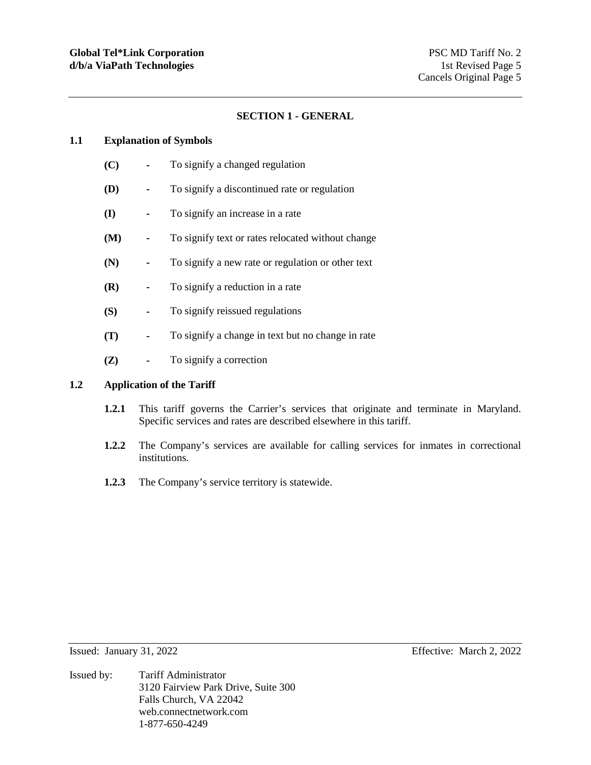## **SECTION 1 - GENERAL**

#### **1.1 Explanation of Symbols**

- **(C)** To signify a changed regulation
- **(D)** To signify a discontinued rate or regulation
- **(I)** To signify an increase in a rate
- **(M)** To signify text or rates relocated without change
- **(N)** To signify a new rate or regulation or other text
- **(R)** To signify a reduction in a rate
- **(S)** To signify reissued regulations
- **(T)** To signify a change in text but no change in rate
- **(Z)** To signify a correction

# **1.2 Application of the Tariff**

- **1.2.1** This tariff governs the Carrier's services that originate and terminate in Maryland. Specific services and rates are described elsewhere in this tariff.
- **1.2.2** The Company's services are available for calling services for inmates in correctional institutions.
- **1.2.3** The Company's service territory is statewide.

- Issued: January 31, 2022 Effective: March 2, 2022
- Issued by: Tariff Administrator 3120 Fairview Park Drive, Suite 300 Falls Church, VA 22042 web.connectnetwork.com 1-877-650-4249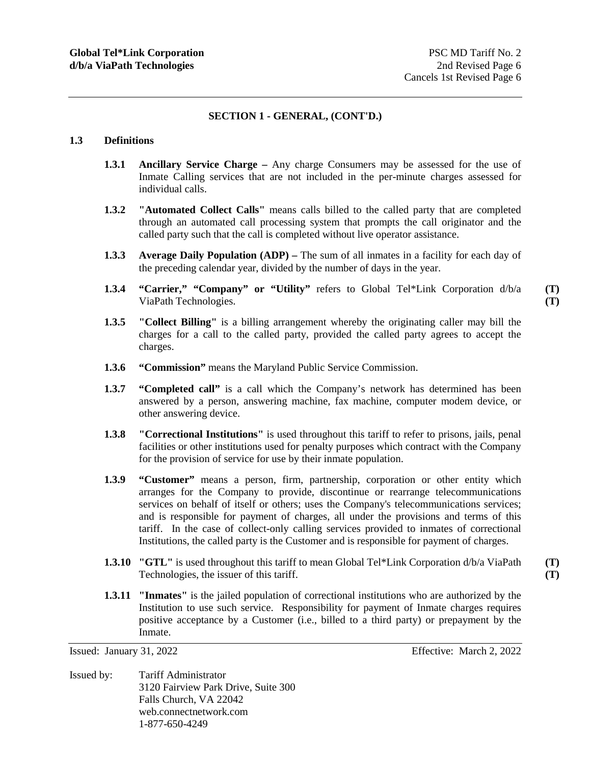# **SECTION 1 - GENERAL, (CONT'D.)**

## **1.3 Definitions**

- **1.3.1 Ancillary Service Charge** Any charge Consumers may be assessed for the use of Inmate Calling services that are not included in the per-minute charges assessed for individual calls.
- **1.3.2 "Automated Collect Calls"** means calls billed to the called party that are completed through an automated call processing system that prompts the call originator and the called party such that the call is completed without live operator assistance.
- **1.3.3 Average Daily Population (ADP)** The sum of all inmates in a facility for each day of the preceding calendar year, divided by the number of days in the year.
- **1.3.4 "Carrier," "Company" or "Utility"** refers to Global Tel\*Link Corporation d/b/a ViaPath Technologies.

**(T) (T)** 

**(T) (T)** 

- **1.3.5 "Collect Billing"** is a billing arrangement whereby the originating caller may bill the charges for a call to the called party, provided the called party agrees to accept the charges.
- **1.3.6 "Commission"** means the Maryland Public Service Commission.
- **1.3.7** "Completed call" is a call which the Company's network has determined has been answered by a person, answering machine, fax machine, computer modem device, or other answering device.
- **1.3.8 "Correctional Institutions"** is used throughout this tariff to refer to prisons, jails, penal facilities or other institutions used for penalty purposes which contract with the Company for the provision of service for use by their inmate population.
- **1.3.9 "Customer"** means a person, firm, partnership, corporation or other entity which arranges for the Company to provide, discontinue or rearrange telecommunications services on behalf of itself or others; uses the Company's telecommunications services; and is responsible for payment of charges, all under the provisions and terms of this tariff. In the case of collect-only calling services provided to inmates of correctional Institutions, the called party is the Customer and is responsible for payment of charges.
- **1.3.10 "GTL"** is used throughout this tariff to mean Global Tel\*Link Corporation d/b/a ViaPath Technologies, the issuer of this tariff.
- **1.3.11 "Inmates"** is the jailed population of correctional institutions who are authorized by the Institution to use such service. Responsibility for payment of Inmate charges requires positive acceptance by a Customer (i.e., billed to a third party) or prepayment by the Inmate.

Issued by: Tariff Administrator 3120 Fairview Park Drive, Suite 300 Falls Church, VA 22042 web.connectnetwork.com 1-877-650-4249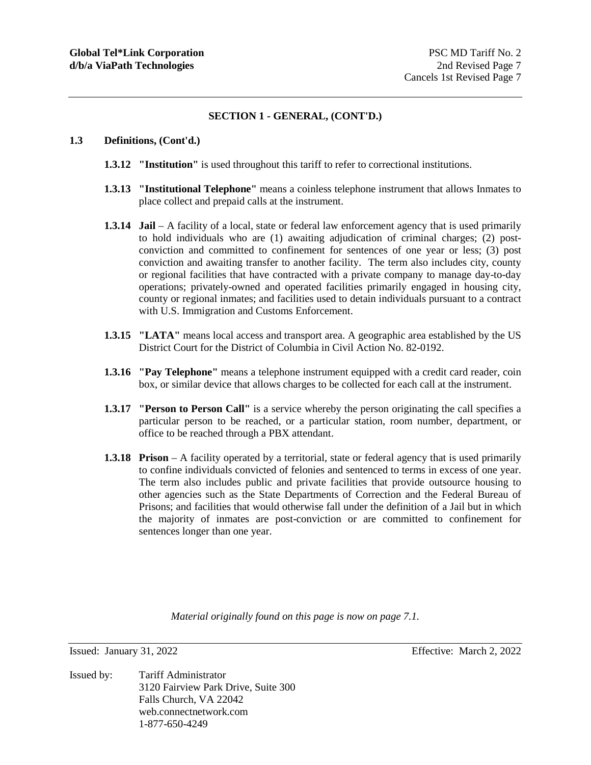## **SECTION 1 - GENERAL, (CONT'D.)**

## **1.3 Definitions, (Cont'd.)**

- **1.3.12 "Institution"** is used throughout this tariff to refer to correctional institutions.
- **1.3.13 "Institutional Telephone"** means a coinless telephone instrument that allows Inmates to place collect and prepaid calls at the instrument.
- **1.3.14 Jail** A facility of a local, state or federal law enforcement agency that is used primarily to hold individuals who are (1) awaiting adjudication of criminal charges; (2) postconviction and committed to confinement for sentences of one year or less; (3) post conviction and awaiting transfer to another facility. The term also includes city, county or regional facilities that have contracted with a private company to manage day-to-day operations; privately-owned and operated facilities primarily engaged in housing city, county or regional inmates; and facilities used to detain individuals pursuant to a contract with U.S. Immigration and Customs Enforcement.
- **1.3.15 "LATA"** means local access and transport area. A geographic area established by the US District Court for the District of Columbia in Civil Action No. 82-0192.
- **1.3.16 "Pay Telephone"** means a telephone instrument equipped with a credit card reader, coin box, or similar device that allows charges to be collected for each call at the instrument.
- **1.3.17 "Person to Person Call"** is a service whereby the person originating the call specifies a particular person to be reached, or a particular station, room number, department, or office to be reached through a PBX attendant.
- **1.3.18 Prison** A facility operated by a territorial, state or federal agency that is used primarily to confine individuals convicted of felonies and sentenced to terms in excess of one year. The term also includes public and private facilities that provide outsource housing to other agencies such as the State Departments of Correction and the Federal Bureau of Prisons; and facilities that would otherwise fall under the definition of a Jail but in which the majority of inmates are post-conviction or are committed to confinement for sentences longer than one year.

*Material originally found on this page is now on page 7.1.* 

Issued by: Tariff Administrator 3120 Fairview Park Drive, Suite 300 Falls Church, VA 22042 web.connectnetwork.com 1-877-650-4249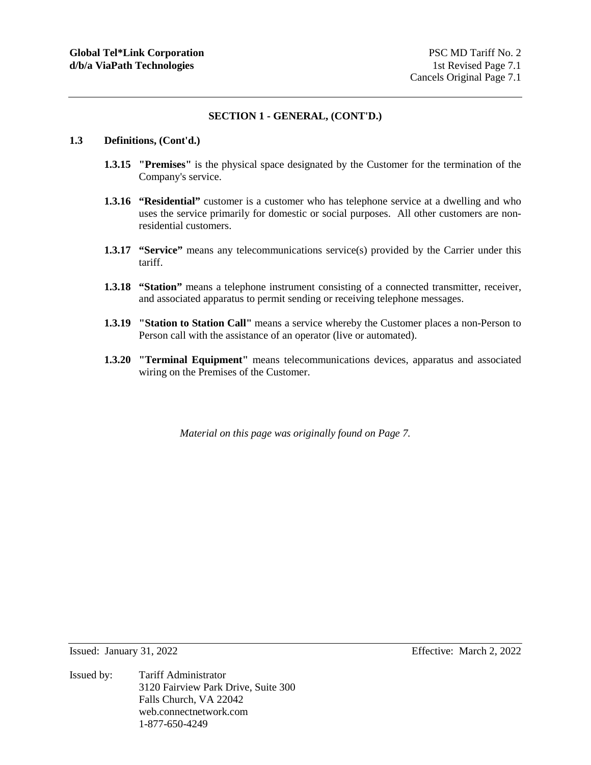## **SECTION 1 - GENERAL, (CONT'D.)**

## **1.3 Definitions, (Cont'd.)**

- **1.3.15 "Premises"** is the physical space designated by the Customer for the termination of the Company's service.
- **1.3.16 "Residential"** customer is a customer who has telephone service at a dwelling and who uses the service primarily for domestic or social purposes. All other customers are nonresidential customers.
- **1.3.17 "Service"** means any telecommunications service(s) provided by the Carrier under this tariff.
- **1.3.18 "Station"** means a telephone instrument consisting of a connected transmitter, receiver, and associated apparatus to permit sending or receiving telephone messages.
- **1.3.19 "Station to Station Call"** means a service whereby the Customer places a non-Person to Person call with the assistance of an operator (live or automated).
- **1.3.20 "Terminal Equipment"** means telecommunications devices, apparatus and associated wiring on the Premises of the Customer.

*Material on this page was originally found on Page 7.* 

Issued: January 31, 2022 Effective: March 2, 2022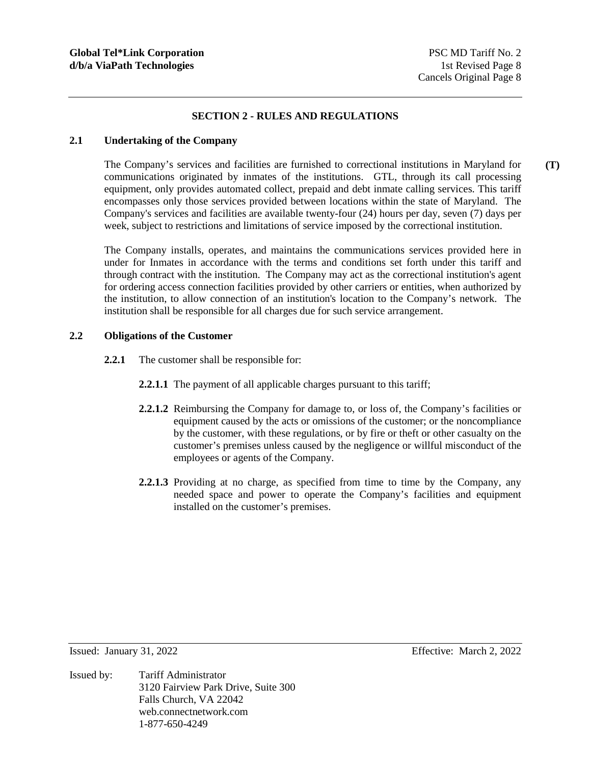## **SECTION 2 - RULES AND REGULATIONS**

## **2.1 Undertaking of the Company**

The Company's services and facilities are furnished to correctional institutions in Maryland for communications originated by inmates of the institutions. GTL, through its call processing equipment, only provides automated collect, prepaid and debt inmate calling services. This tariff encompasses only those services provided between locations within the state of Maryland. The Company's services and facilities are available twenty-four (24) hours per day, seven (7) days per week, subject to restrictions and limitations of service imposed by the correctional institution.

The Company installs, operates, and maintains the communications services provided here in under for Inmates in accordance with the terms and conditions set forth under this tariff and through contract with the institution. The Company may act as the correctional institution's agent for ordering access connection facilities provided by other carriers or entities, when authorized by the institution, to allow connection of an institution's location to the Company's network. The institution shall be responsible for all charges due for such service arrangement.

## **2.2 Obligations of the Customer**

- **2.2.1** The customer shall be responsible for:
	- **2.2.1.1** The payment of all applicable charges pursuant to this tariff;
	- **2.2.1.2** Reimbursing the Company for damage to, or loss of, the Company's facilities or equipment caused by the acts or omissions of the customer; or the noncompliance by the customer, with these regulations, or by fire or theft or other casualty on the customer's premises unless caused by the negligence or willful misconduct of the employees or agents of the Company.
	- **2.2.1.3** Providing at no charge, as specified from time to time by the Company, any needed space and power to operate the Company's facilities and equipment installed on the customer's premises.

Issued: January 31, 2022 Effective: March 2, 2022

Issued by: Tariff Administrator 3120 Fairview Park Drive, Suite 300 Falls Church, VA 22042 web.connectnetwork.com 1-877-650-4249

**(T)**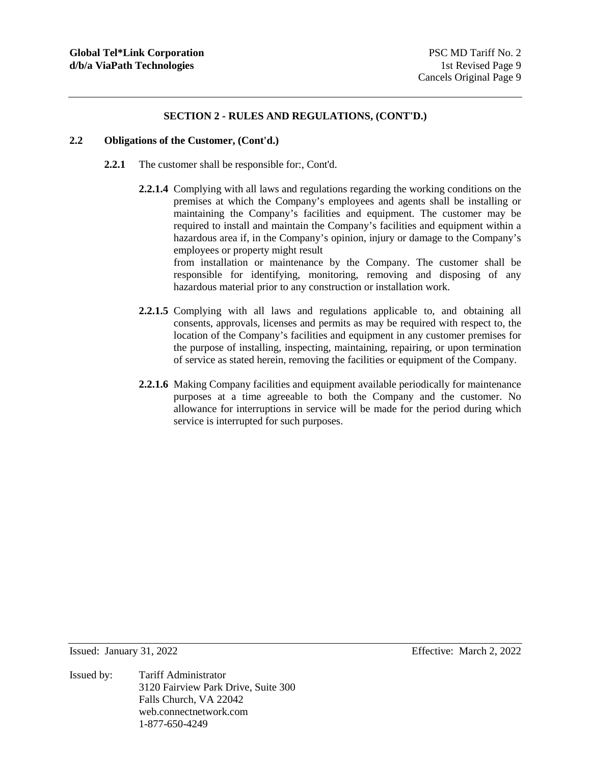## **2.2 Obligations of the Customer, (Cont'd.)**

- **2.2.1** The customer shall be responsible for:, Cont'd.
	- **2.2.1.4** Complying with all laws and regulations regarding the working conditions on the premises at which the Company's employees and agents shall be installing or maintaining the Company's facilities and equipment. The customer may be required to install and maintain the Company's facilities and equipment within a hazardous area if, in the Company's opinion, injury or damage to the Company's employees or property might result from installation or maintenance by the Company. The customer shall be

responsible for identifying, monitoring, removing and disposing of any hazardous material prior to any construction or installation work.

- **2.2.1.5** Complying with all laws and regulations applicable to, and obtaining all consents, approvals, licenses and permits as may be required with respect to, the location of the Company's facilities and equipment in any customer premises for the purpose of installing, inspecting, maintaining, repairing, or upon termination of service as stated herein, removing the facilities or equipment of the Company.
- **2.2.1.6** Making Company facilities and equipment available periodically for maintenance purposes at a time agreeable to both the Company and the customer. No allowance for interruptions in service will be made for the period during which service is interrupted for such purposes.

Issued: January 31, 2022 Effective: March 2, 2022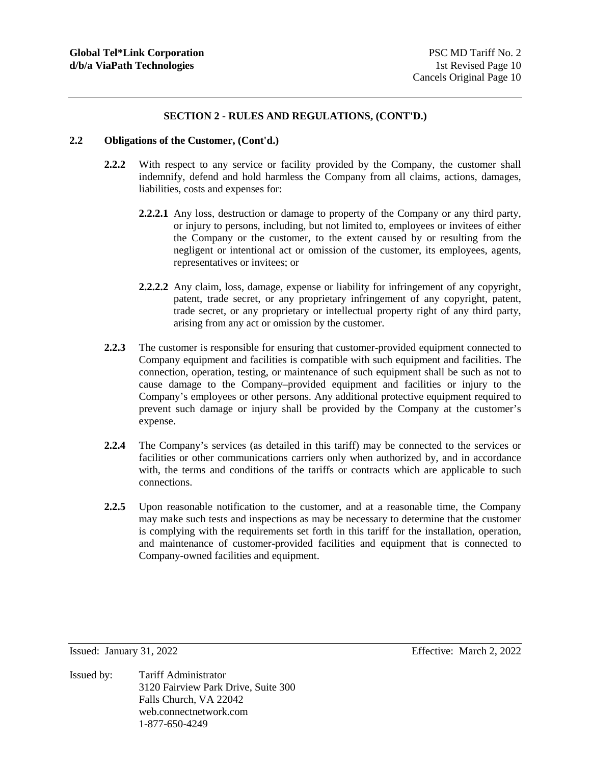## **2.2 Obligations of the Customer, (Cont'd.)**

- **2.2.2** With respect to any service or facility provided by the Company, the customer shall indemnify, defend and hold harmless the Company from all claims, actions, damages, liabilities, costs and expenses for:
	- **2.2.2.1** Any loss, destruction or damage to property of the Company or any third party, or injury to persons, including, but not limited to, employees or invitees of either the Company or the customer, to the extent caused by or resulting from the negligent or intentional act or omission of the customer, its employees, agents, representatives or invitees; or
	- **2.2.2.2** Any claim, loss, damage, expense or liability for infringement of any copyright, patent, trade secret, or any proprietary infringement of any copyright, patent, trade secret, or any proprietary or intellectual property right of any third party, arising from any act or omission by the customer.
- **2.2.3** The customer is responsible for ensuring that customer-provided equipment connected to Company equipment and facilities is compatible with such equipment and facilities. The connection, operation, testing, or maintenance of such equipment shall be such as not to cause damage to the Company–provided equipment and facilities or injury to the Company's employees or other persons. Any additional protective equipment required to prevent such damage or injury shall be provided by the Company at the customer's expense.
- **2.2.4** The Company's services (as detailed in this tariff) may be connected to the services or facilities or other communications carriers only when authorized by, and in accordance with, the terms and conditions of the tariffs or contracts which are applicable to such connections.
- **2.2.5** Upon reasonable notification to the customer, and at a reasonable time, the Company may make such tests and inspections as may be necessary to determine that the customer is complying with the requirements set forth in this tariff for the installation, operation, and maintenance of customer-provided facilities and equipment that is connected to Company-owned facilities and equipment.

Issued: January 31, 2022 Effective: March 2, 2022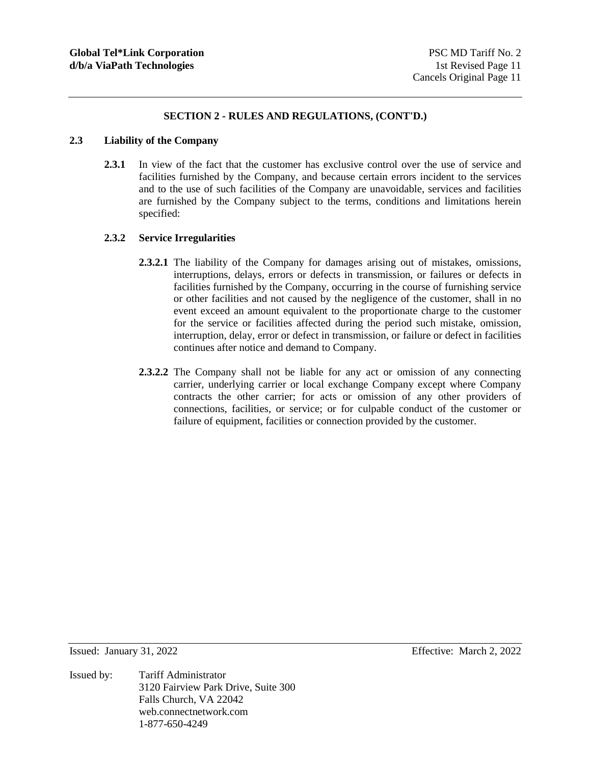#### **2.3 Liability of the Company**

**2.3.1** In view of the fact that the customer has exclusive control over the use of service and facilities furnished by the Company, and because certain errors incident to the services and to the use of such facilities of the Company are unavoidable, services and facilities are furnished by the Company subject to the terms, conditions and limitations herein specified:

## **2.3.2 Service Irregularities**

- **2.3.2.1** The liability of the Company for damages arising out of mistakes, omissions, interruptions, delays, errors or defects in transmission, or failures or defects in facilities furnished by the Company, occurring in the course of furnishing service or other facilities and not caused by the negligence of the customer, shall in no event exceed an amount equivalent to the proportionate charge to the customer for the service or facilities affected during the period such mistake, omission, interruption, delay, error or defect in transmission, or failure or defect in facilities continues after notice and demand to Company.
- **2.3.2.2** The Company shall not be liable for any act or omission of any connecting carrier, underlying carrier or local exchange Company except where Company contracts the other carrier; for acts or omission of any other providers of connections, facilities, or service; or for culpable conduct of the customer or failure of equipment, facilities or connection provided by the customer.

Issued: January 31, 2022 Effective: March 2, 2022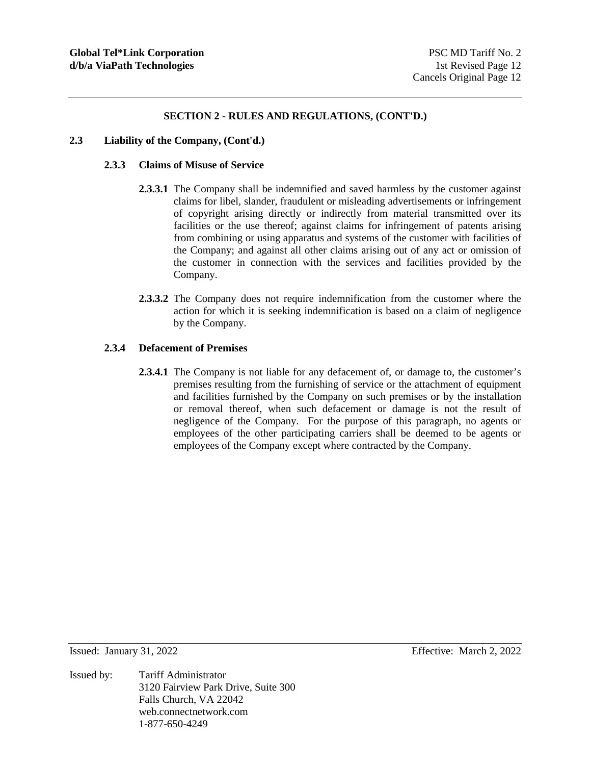#### **2.3 Liability of the Company, (Cont'd.)**

## **2.3.3 Claims of Misuse of Service**

- **2.3.3.1** The Company shall be indemnified and saved harmless by the customer against claims for libel, slander, fraudulent or misleading advertisements or infringement of copyright arising directly or indirectly from material transmitted over its facilities or the use thereof; against claims for infringement of patents arising from combining or using apparatus and systems of the customer with facilities of the Company; and against all other claims arising out of any act or omission of the customer in connection with the services and facilities provided by the Company.
- **2.3.3.2** The Company does not require indemnification from the customer where the action for which it is seeking indemnification is based on a claim of negligence by the Company.

## **2.3.4 Defacement of Premises**

**2.3.4.1** The Company is not liable for any defacement of, or damage to, the customer's premises resulting from the furnishing of service or the attachment of equipment and facilities furnished by the Company on such premises or by the installation or removal thereof, when such defacement or damage is not the result of negligence of the Company. For the purpose of this paragraph, no agents or employees of the other participating carriers shall be deemed to be agents or employees of the Company except where contracted by the Company.

Issued: January 31, 2022 Effective: March 2, 2022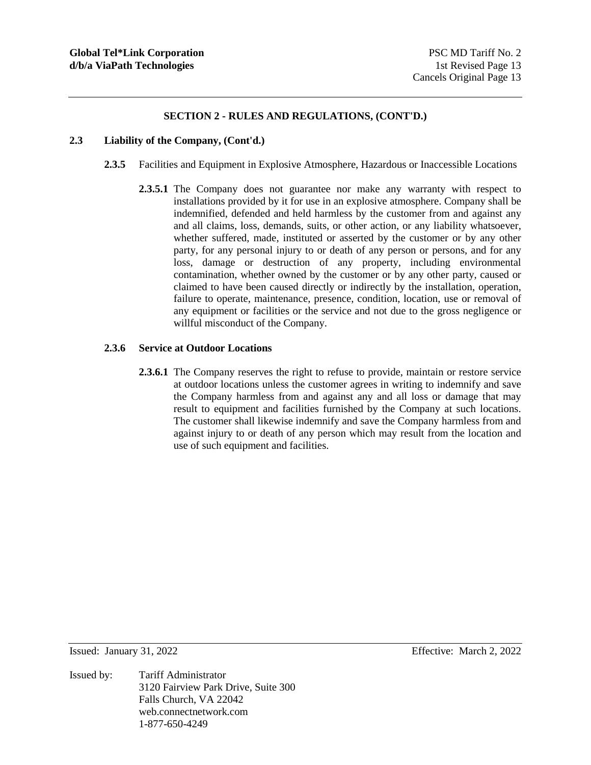#### **2.3 Liability of the Company, (Cont'd.)**

- **2.3.5** Facilities and Equipment in Explosive Atmosphere, Hazardous or Inaccessible Locations
	- **2.3.5.1** The Company does not guarantee nor make any warranty with respect to installations provided by it for use in an explosive atmosphere. Company shall be indemnified, defended and held harmless by the customer from and against any and all claims, loss, demands, suits, or other action, or any liability whatsoever, whether suffered, made, instituted or asserted by the customer or by any other party, for any personal injury to or death of any person or persons, and for any loss, damage or destruction of any property, including environmental contamination, whether owned by the customer or by any other party, caused or claimed to have been caused directly or indirectly by the installation, operation, failure to operate, maintenance, presence, condition, location, use or removal of any equipment or facilities or the service and not due to the gross negligence or willful misconduct of the Company.

## **2.3.6 Service at Outdoor Locations**

**2.3.6.1** The Company reserves the right to refuse to provide, maintain or restore service at outdoor locations unless the customer agrees in writing to indemnify and save the Company harmless from and against any and all loss or damage that may result to equipment and facilities furnished by the Company at such locations. The customer shall likewise indemnify and save the Company harmless from and against injury to or death of any person which may result from the location and use of such equipment and facilities.

Issued: January 31, 2022 Effective: March 2, 2022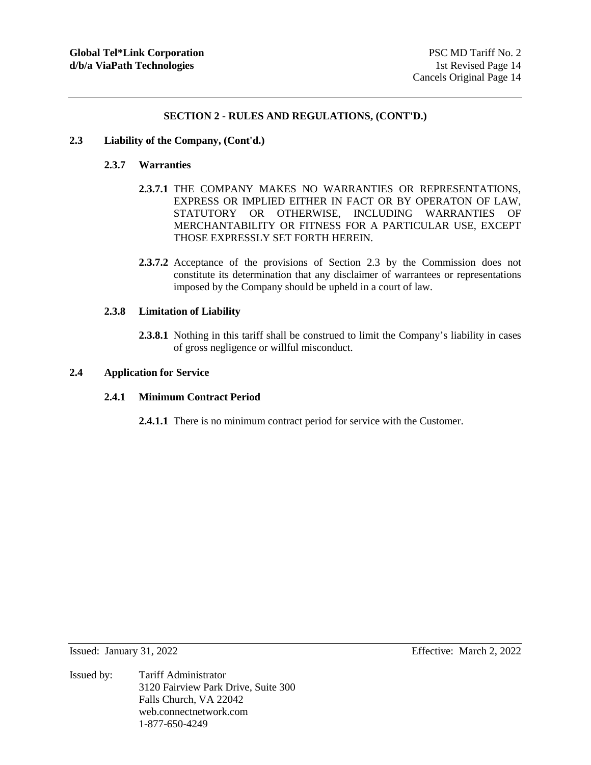#### **2.3 Liability of the Company, (Cont'd.)**

## **2.3.7 Warranties**

- **2.3.7.1** THE COMPANY MAKES NO WARRANTIES OR REPRESENTATIONS, EXPRESS OR IMPLIED EITHER IN FACT OR BY OPERATON OF LAW, STATUTORY OR OTHERWISE, INCLUDING WARRANTIES OF MERCHANTABILITY OR FITNESS FOR A PARTICULAR USE, EXCEPT THOSE EXPRESSLY SET FORTH HEREIN.
- **2.3.7.2** Acceptance of the provisions of Section 2.3 by the Commission does not constitute its determination that any disclaimer of warrantees or representations imposed by the Company should be upheld in a court of law.

## **2.3.8 Limitation of Liability**

**2.3.8.1** Nothing in this tariff shall be construed to limit the Company's liability in cases of gross negligence or willful misconduct.

## **2.4 Application for Service**

## **2.4.1 Minimum Contract Period**

**2.4.1.1** There is no minimum contract period for service with the Customer.

- Issued: January 31, 2022 Effective: March 2, 2022
- Issued by: Tariff Administrator 3120 Fairview Park Drive, Suite 300 Falls Church, VA 22042 web.connectnetwork.com 1-877-650-4249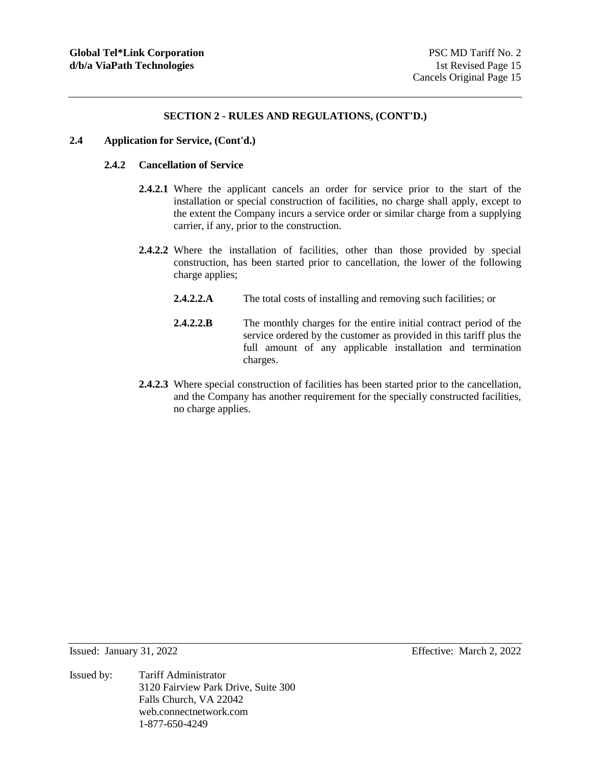#### **2.4 Application for Service, (Cont'd.)**

## **2.4.2 Cancellation of Service**

- **2.4.2.1** Where the applicant cancels an order for service prior to the start of the installation or special construction of facilities, no charge shall apply, except to the extent the Company incurs a service order or similar charge from a supplying carrier, if any, prior to the construction.
- **2.4.2.2** Where the installation of facilities, other than those provided by special construction, has been started prior to cancellation, the lower of the following charge applies;
	- **2.4.2.2.A** The total costs of installing and removing such facilities; or
	- **2.4.2.2.B** The monthly charges for the entire initial contract period of the service ordered by the customer as provided in this tariff plus the full amount of any applicable installation and termination charges.
- **2.4.2.3** Where special construction of facilities has been started prior to the cancellation, and the Company has another requirement for the specially constructed facilities, no charge applies.

Issued: January 31, 2022 Effective: March 2, 2022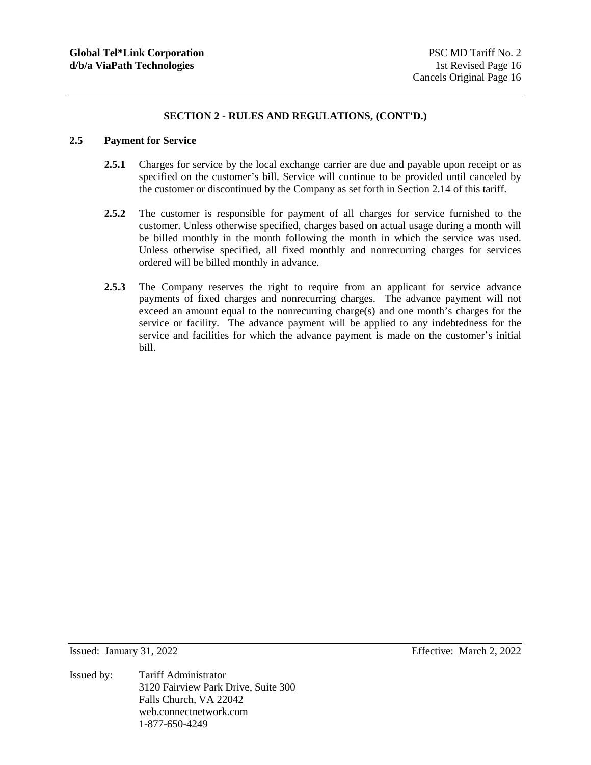## **2.5 Payment for Service**

- 2.5.1 Charges for service by the local exchange carrier are due and payable upon receipt or as specified on the customer's bill. Service will continue to be provided until canceled by the customer or discontinued by the Company as set forth in Section 2.14 of this tariff.
- **2.5.2** The customer is responsible for payment of all charges for service furnished to the customer. Unless otherwise specified, charges based on actual usage during a month will be billed monthly in the month following the month in which the service was used. Unless otherwise specified, all fixed monthly and nonrecurring charges for services ordered will be billed monthly in advance.
- **2.5.3** The Company reserves the right to require from an applicant for service advance payments of fixed charges and nonrecurring charges. The advance payment will not exceed an amount equal to the nonrecurring charge(s) and one month's charges for the service or facility. The advance payment will be applied to any indebtedness for the service and facilities for which the advance payment is made on the customer's initial bill.

Issued by: Tariff Administrator 3120 Fairview Park Drive, Suite 300 Falls Church, VA 22042 web.connectnetwork.com 1-877-650-4249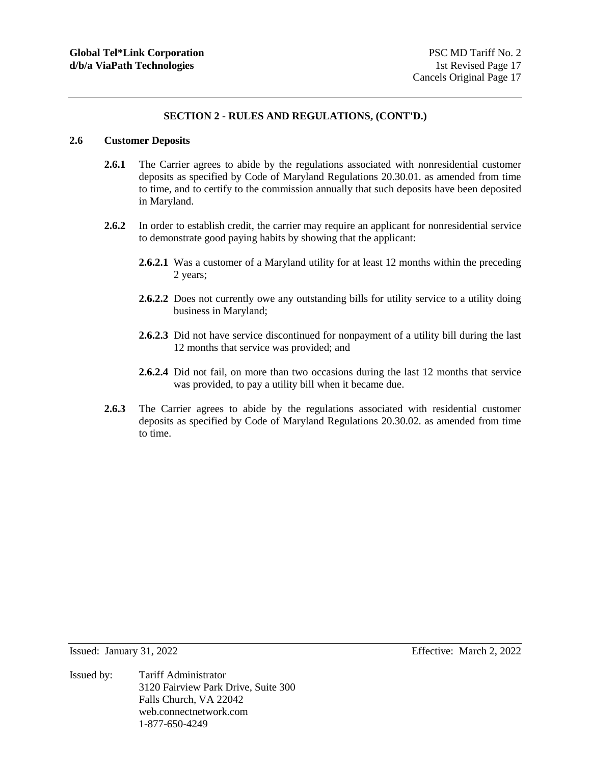## **2.6 Customer Deposits**

- 2.6.1 The Carrier agrees to abide by the regulations associated with nonresidential customer deposits as specified by Code of Maryland Regulations 20.30.01. as amended from time to time, and to certify to the commission annually that such deposits have been deposited in Maryland.
- **2.6.2** In order to establish credit, the carrier may require an applicant for nonresidential service to demonstrate good paying habits by showing that the applicant:
	- **2.6.2.1** Was a customer of a Maryland utility for at least 12 months within the preceding 2 years;
	- **2.6.2.2** Does not currently owe any outstanding bills for utility service to a utility doing business in Maryland;
	- **2.6.2.3** Did not have service discontinued for nonpayment of a utility bill during the last 12 months that service was provided; and
	- **2.6.2.4** Did not fail, on more than two occasions during the last 12 months that service was provided, to pay a utility bill when it became due.
- **2.6.3** The Carrier agrees to abide by the regulations associated with residential customer deposits as specified by Code of Maryland Regulations 20.30.02. as amended from time to time.

Issued: January 31, 2022 Effective: March 2, 2022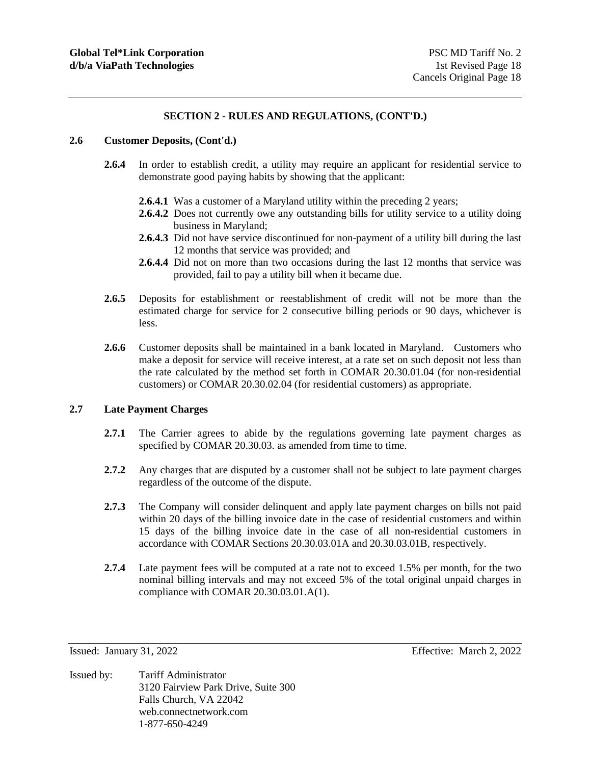#### **2.6 Customer Deposits, (Cont'd.)**

- **2.6.4** In order to establish credit, a utility may require an applicant for residential service to demonstrate good paying habits by showing that the applicant:
	- **2.6.4.1** Was a customer of a Maryland utility within the preceding 2 years;
	- **2.6.4.2** Does not currently owe any outstanding bills for utility service to a utility doing business in Maryland;
	- **2.6.4.3** Did not have service discontinued for non-payment of a utility bill during the last 12 months that service was provided; and
	- **2.6.4.4** Did not on more than two occasions during the last 12 months that service was provided, fail to pay a utility bill when it became due.
- **2.6.5** Deposits for establishment or reestablishment of credit will not be more than the estimated charge for service for 2 consecutive billing periods or 90 days, whichever is less.
- **2.6.6** Customer deposits shall be maintained in a bank located in Maryland. Customers who make a deposit for service will receive interest, at a rate set on such deposit not less than the rate calculated by the method set forth in COMAR 20.30.01.04 (for non-residential customers) or COMAR 20.30.02.04 (for residential customers) as appropriate.

### **2.7 Late Payment Charges**

- **2.7.1** The Carrier agrees to abide by the regulations governing late payment charges as specified by COMAR 20.30.03. as amended from time to time.
- **2.7.2** Any charges that are disputed by a customer shall not be subject to late payment charges regardless of the outcome of the dispute.
- **2.7.3** The Company will consider delinquent and apply late payment charges on bills not paid within 20 days of the billing invoice date in the case of residential customers and within 15 days of the billing invoice date in the case of all non-residential customers in accordance with COMAR Sections 20.30.03.01A and 20.30.03.01B, respectively.
- **2.7.4** Late payment fees will be computed at a rate not to exceed 1.5% per month, for the two nominal billing intervals and may not exceed 5% of the total original unpaid charges in compliance with COMAR 20.30.03.01.A(1).

Issued: January 31, 2022 Effective: March 2, 2022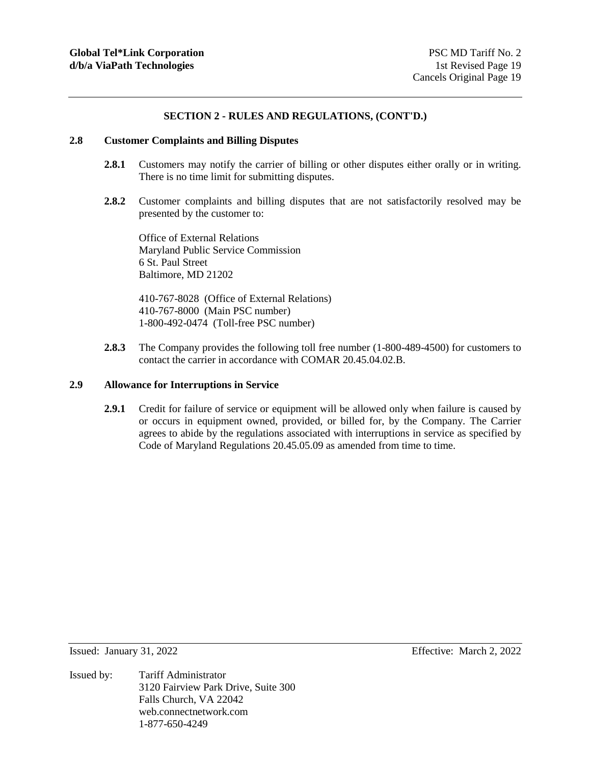#### **2.8 Customer Complaints and Billing Disputes**

- 2.8.1 Customers may notify the carrier of billing or other disputes either orally or in writing. There is no time limit for submitting disputes.
- **2.8.2** Customer complaints and billing disputes that are not satisfactorily resolved may be presented by the customer to:

Office of External Relations Maryland Public Service Commission 6 St. Paul Street Baltimore, MD 21202

410-767-8028 (Office of External Relations) 410-767-8000 (Main PSC number) 1-800-492-0474 (Toll-free PSC number)

**2.8.3** The Company provides the following toll free number (1-800-489-4500) for customers to contact the carrier in accordance with COMAR 20.45.04.02.B.

# **2.9 Allowance for Interruptions in Service**

**2.9.1** Credit for failure of service or equipment will be allowed only when failure is caused by or occurs in equipment owned, provided, or billed for, by the Company. The Carrier agrees to abide by the regulations associated with interruptions in service as specified by Code of Maryland Regulations 20.45.05.09 as amended from time to time.

Issued by: Tariff Administrator 3120 Fairview Park Drive, Suite 300 Falls Church, VA 22042 web.connectnetwork.com 1-877-650-4249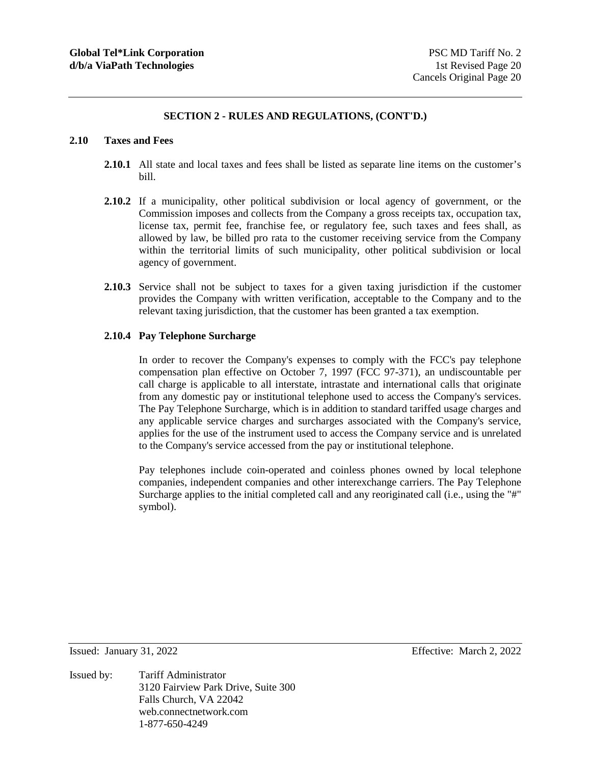#### **2.10 Taxes and Fees**

- **2.10.1** All state and local taxes and fees shall be listed as separate line items on the customer's bill.
- **2.10.2** If a municipality, other political subdivision or local agency of government, or the Commission imposes and collects from the Company a gross receipts tax, occupation tax, license tax, permit fee, franchise fee, or regulatory fee, such taxes and fees shall, as allowed by law, be billed pro rata to the customer receiving service from the Company within the territorial limits of such municipality, other political subdivision or local agency of government.
- **2.10.3** Service shall not be subject to taxes for a given taxing jurisdiction if the customer provides the Company with written verification, acceptable to the Company and to the relevant taxing jurisdiction, that the customer has been granted a tax exemption.

## **2.10.4 Pay Telephone Surcharge**

In order to recover the Company's expenses to comply with the FCC's pay telephone compensation plan effective on October 7, 1997 (FCC 97-371), an undiscountable per call charge is applicable to all interstate, intrastate and international calls that originate from any domestic pay or institutional telephone used to access the Company's services. The Pay Telephone Surcharge, which is in addition to standard tariffed usage charges and any applicable service charges and surcharges associated with the Company's service, applies for the use of the instrument used to access the Company service and is unrelated to the Company's service accessed from the pay or institutional telephone.

Pay telephones include coin-operated and coinless phones owned by local telephone companies, independent companies and other interexchange carriers. The Pay Telephone Surcharge applies to the initial completed call and any reoriginated call (i.e., using the "#" symbol).

Issued by: Tariff Administrator 3120 Fairview Park Drive, Suite 300 Falls Church, VA 22042 web.connectnetwork.com 1-877-650-4249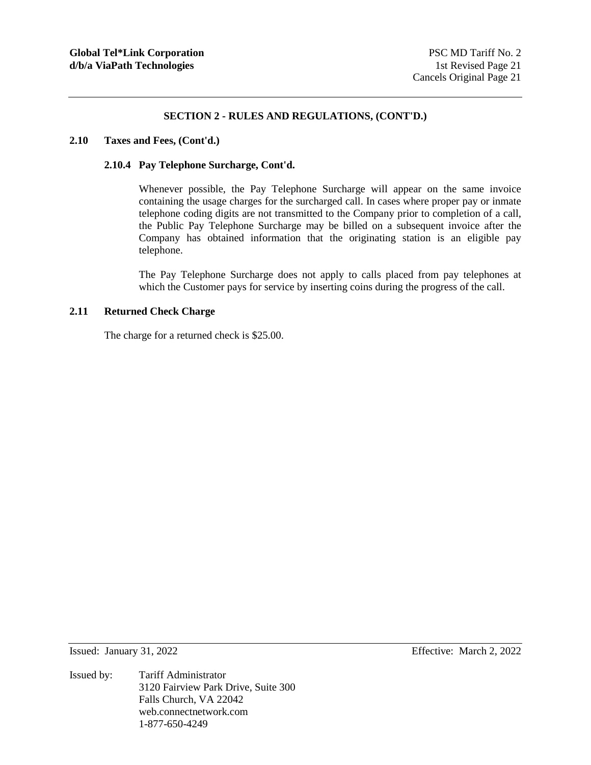#### **2.10 Taxes and Fees, (Cont'd.)**

#### **2.10.4 Pay Telephone Surcharge, Cont'd.**

Whenever possible, the Pay Telephone Surcharge will appear on the same invoice containing the usage charges for the surcharged call. In cases where proper pay or inmate telephone coding digits are not transmitted to the Company prior to completion of a call, the Public Pay Telephone Surcharge may be billed on a subsequent invoice after the Company has obtained information that the originating station is an eligible pay telephone.

The Pay Telephone Surcharge does not apply to calls placed from pay telephones at which the Customer pays for service by inserting coins during the progress of the call.

#### **2.11 Returned Check Charge**

The charge for a returned check is \$25.00.

Issued: January 31, 2022 Effective: March 2, 2022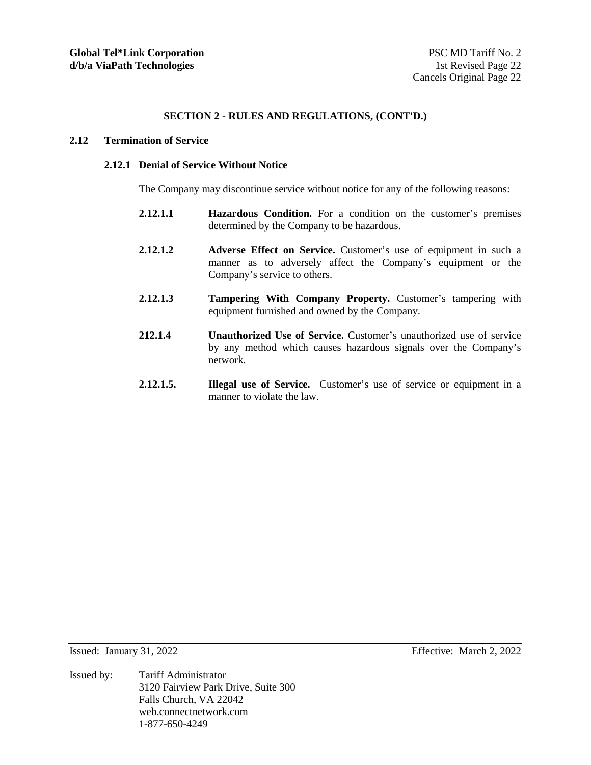#### **2.12 Termination of Service**

## **2.12.1 Denial of Service Without Notice**

The Company may discontinue service without notice for any of the following reasons:

- **2.12.1.1 Hazardous Condition.** For a condition on the customer's premises determined by the Company to be hazardous.
- **2.12.1.2 Adverse Effect on Service.** Customer's use of equipment in such a manner as to adversely affect the Company's equipment or the Company's service to others.
- **2.12.1.3 Tampering With Company Property.** Customer's tampering with equipment furnished and owned by the Company.
- **212.1.4 Unauthorized Use of Service.** Customer's unauthorized use of service by any method which causes hazardous signals over the Company's network.
- **2.12.1.5. Illegal use of Service.** Customer's use of service or equipment in a manner to violate the law

Issued: January 31, 2022 Effective: March 2, 2022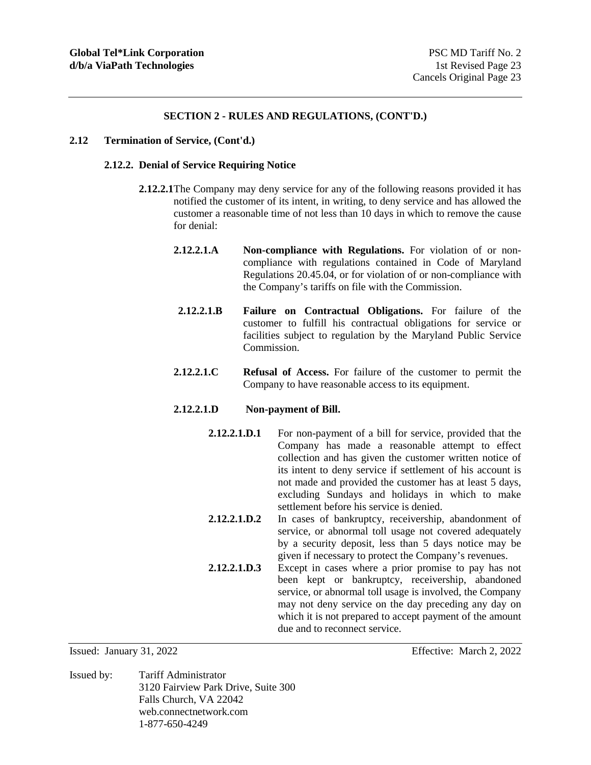#### **2.12 Termination of Service, (Cont'd.)**

## **2.12.2. Denial of Service Requiring Notice**

- **2.12.2.1** The Company may deny service for any of the following reasons provided it has notified the customer of its intent, in writing, to deny service and has allowed the customer a reasonable time of not less than 10 days in which to remove the cause for denial:
	- **2.12.2.1.A Non-compliance with Regulations.** For violation of or noncompliance with regulations contained in Code of Maryland Regulations 20.45.04, or for violation of or non-compliance with the Company's tariffs on file with the Commission.
	- **2.12.2.1.B Failure on Contractual Obligations.** For failure of the customer to fulfill his contractual obligations for service or facilities subject to regulation by the Maryland Public Service Commission.
	- **2.12.2.1.C Refusal of Access.** For failure of the customer to permit the Company to have reasonable access to its equipment.

## **2.12.2.1.D Non-payment of Bill.**

- **2.12.2.1.D.1** For non-payment of a bill for service, provided that the Company has made a reasonable attempt to effect collection and has given the customer written notice of its intent to deny service if settlement of his account is not made and provided the customer has at least 5 days, excluding Sundays and holidays in which to make settlement before his service is denied.
- **2.12.2.1.D.2** In cases of bankruptcy, receivership, abandonment of service, or abnormal toll usage not covered adequately by a security deposit, less than 5 days notice may be given if necessary to protect the Company's revenues.
- **2.12.2.1.D.3** Except in cases where a prior promise to pay has not been kept or bankruptcy, receivership, abandoned service, or abnormal toll usage is involved, the Company may not deny service on the day preceding any day on which it is not prepared to accept payment of the amount due and to reconnect service.

Issued by: Tariff Administrator 3120 Fairview Park Drive, Suite 300 Falls Church, VA 22042 web.connectnetwork.com 1-877-650-4249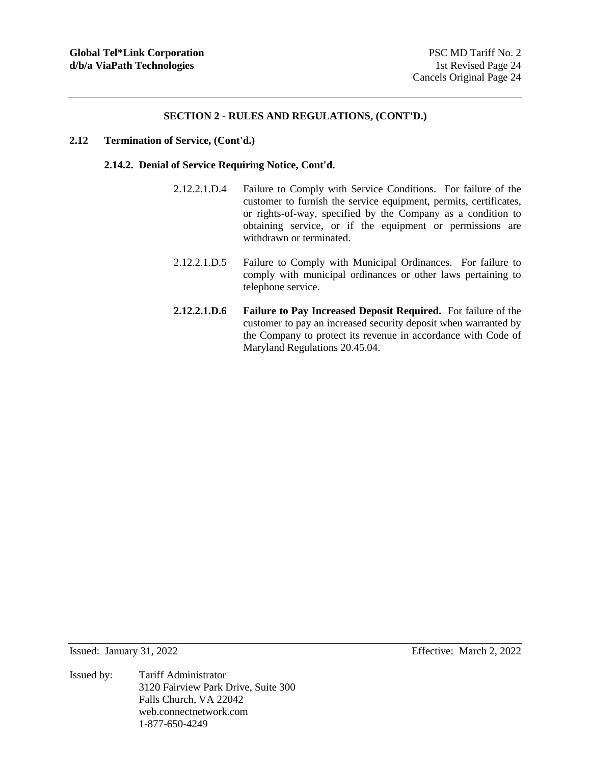#### **2.12 Termination of Service, (Cont'd.)**

#### **2.14.2. Denial of Service Requiring Notice, Cont'd.**

- 2.12.2.1.D.4 Failure to Comply with Service Conditions. For failure of the customer to furnish the service equipment, permits, certificates, or rights-of-way, specified by the Company as a condition to obtaining service, or if the equipment or permissions are withdrawn or terminated.
- 2.12.2.1.D.5 Failure to Comply with Municipal Ordinances. For failure to comply with municipal ordinances or other laws pertaining to telephone service.
- **2.12.2.1.D.6 Failure to Pay Increased Deposit Required.** For failure of the customer to pay an increased security deposit when warranted by the Company to protect its revenue in accordance with Code of Maryland Regulations 20.45.04.

Issued: January 31, 2022 Effective: March 2, 2022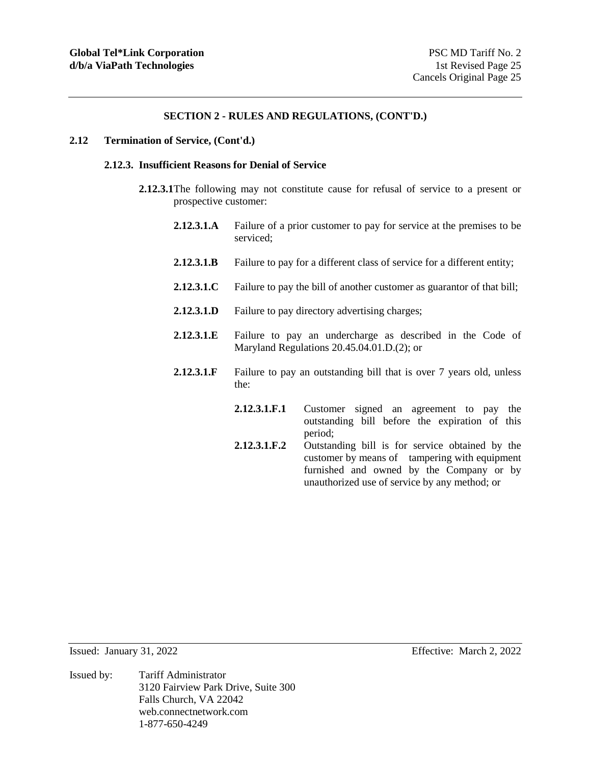#### **2.12 Termination of Service, (Cont'd.)**

#### **2.12.3. Insufficient Reasons for Denial of Service**

- **2.12.3.1** The following may not constitute cause for refusal of service to a present or prospective customer:
	- **2.12.3.1.A** Failure of a prior customer to pay for service at the premises to be serviced;
	- **2.12.3.1.B** Failure to pay for a different class of service for a different entity;
	- **2.12.3.1.C** Failure to pay the bill of another customer as guarantor of that bill;
	- **2.12.3.1.D** Failure to pay directory advertising charges;
	- **2.12.3.1.E** Failure to pay an undercharge as described in the Code of Maryland Regulations 20.45.04.01.D.(2); or
	- **2.12.3.1.F** Failure to pay an outstanding bill that is over 7 years old, unless the:
		- **2.12.3.1.F.1** Customer signed an agreement to pay the outstanding bill before the expiration of this period;
		- **2.12.3.1.F.2** Outstanding bill is for service obtained by the customer by means of tampering with equipment furnished and owned by the Company or by unauthorized use of service by any method; or

Issued by: Tariff Administrator 3120 Fairview Park Drive, Suite 300 Falls Church, VA 22042 web.connectnetwork.com 1-877-650-4249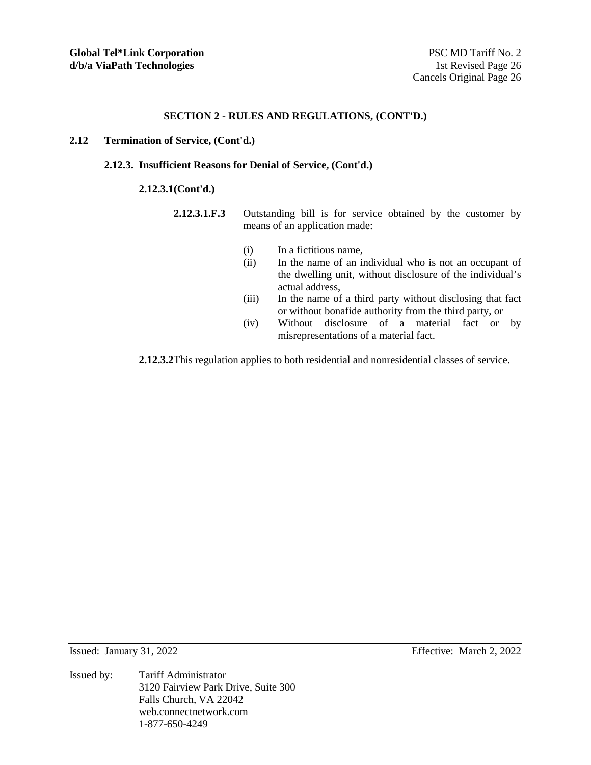#### **2.12 Termination of Service, (Cont'd.)**

## **2.12.3. Insufficient Reasons for Denial of Service, (Cont'd.)**

#### **2.12.3.1 (Cont'd.)**

- **2.12.3.1.F.3** Outstanding bill is for service obtained by the customer by means of an application made:
	- (i) In a fictitious name,
	- (ii) In the name of an individual who is not an occupant of the dwelling unit, without disclosure of the individual's actual address,
	- (iii) In the name of a third party without disclosing that fact or without bonafide authority from the third party, or
	- (iv) Without disclosure of a material fact or by misrepresentations of a material fact.

**2.12.3.2** This regulation applies to both residential and nonresidential classes of service.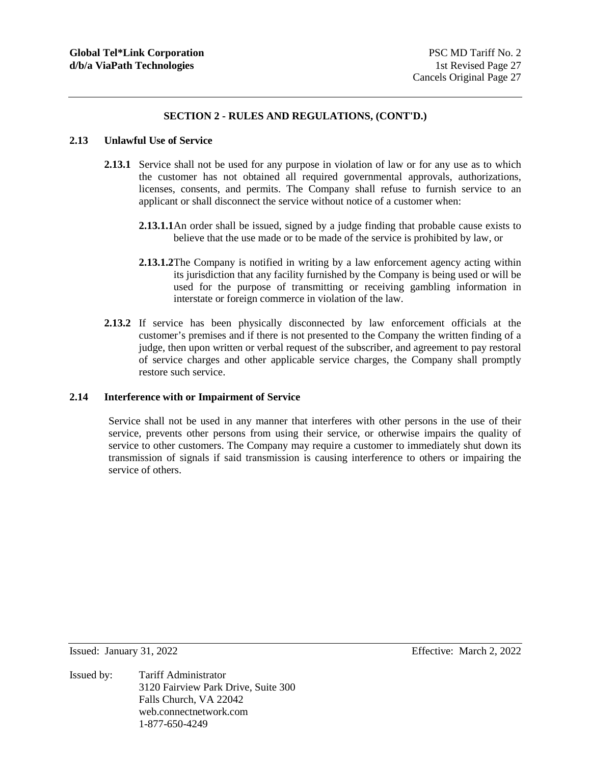#### **2.13 Unlawful Use of Service**

- **2.13.1** Service shall not be used for any purpose in violation of law or for any use as to which the customer has not obtained all required governmental approvals, authorizations, licenses, consents, and permits. The Company shall refuse to furnish service to an applicant or shall disconnect the service without notice of a customer when:
	- **2.13.1.1** An order shall be issued, signed by a judge finding that probable cause exists to believe that the use made or to be made of the service is prohibited by law, or
	- **2.13.1.2** The Company is notified in writing by a law enforcement agency acting within its jurisdiction that any facility furnished by the Company is being used or will be used for the purpose of transmitting or receiving gambling information in interstate or foreign commerce in violation of the law.
- **2.13.2** If service has been physically disconnected by law enforcement officials at the customer's premises and if there is not presented to the Company the written finding of a judge, then upon written or verbal request of the subscriber, and agreement to pay restoral of service charges and other applicable service charges, the Company shall promptly restore such service.

#### **2.14 Interference with or Impairment of Service**

Service shall not be used in any manner that interferes with other persons in the use of their service, prevents other persons from using their service, or otherwise impairs the quality of service to other customers. The Company may require a customer to immediately shut down its transmission of signals if said transmission is causing interference to others or impairing the service of others.

Issued: January 31, 2022 Effective: March 2, 2022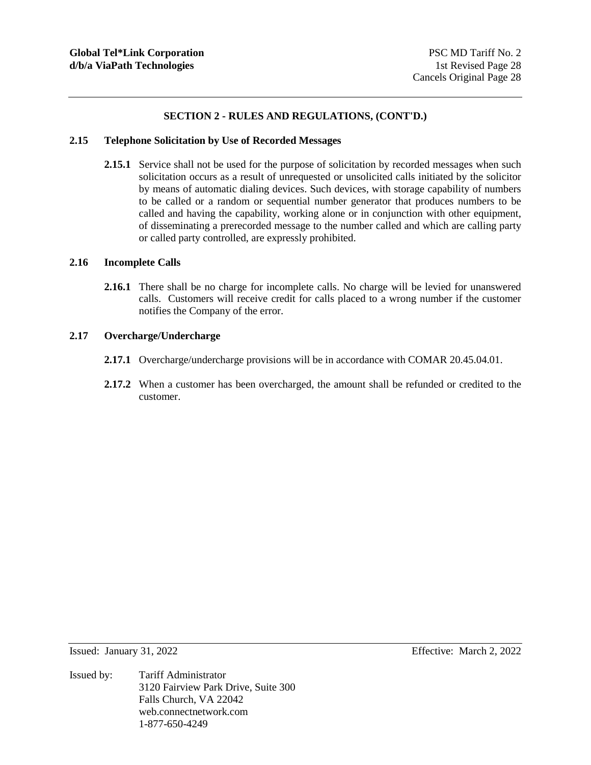#### **2.15 Telephone Solicitation by Use of Recorded Messages**

2.15.1 Service shall not be used for the purpose of solicitation by recorded messages when such solicitation occurs as a result of unrequested or unsolicited calls initiated by the solicitor by means of automatic dialing devices. Such devices, with storage capability of numbers to be called or a random or sequential number generator that produces numbers to be called and having the capability, working alone or in conjunction with other equipment, of disseminating a prerecorded message to the number called and which are calling party or called party controlled, are expressly prohibited.

## **2.16 Incomplete Calls**

**2.16.1** There shall be no charge for incomplete calls. No charge will be levied for unanswered calls. Customers will receive credit for calls placed to a wrong number if the customer notifies the Company of the error.

#### **2.17 Overcharge/Undercharge**

- **2.17.1** Overcharge/undercharge provisions will be in accordance with COMAR 20.45.04.01.
- **2.17.2** When a customer has been overcharged, the amount shall be refunded or credited to the customer.

- Issued: January 31, 2022 Effective: March 2, 2022
- Issued by: Tariff Administrator 3120 Fairview Park Drive, Suite 300 Falls Church, VA 22042 web.connectnetwork.com 1-877-650-4249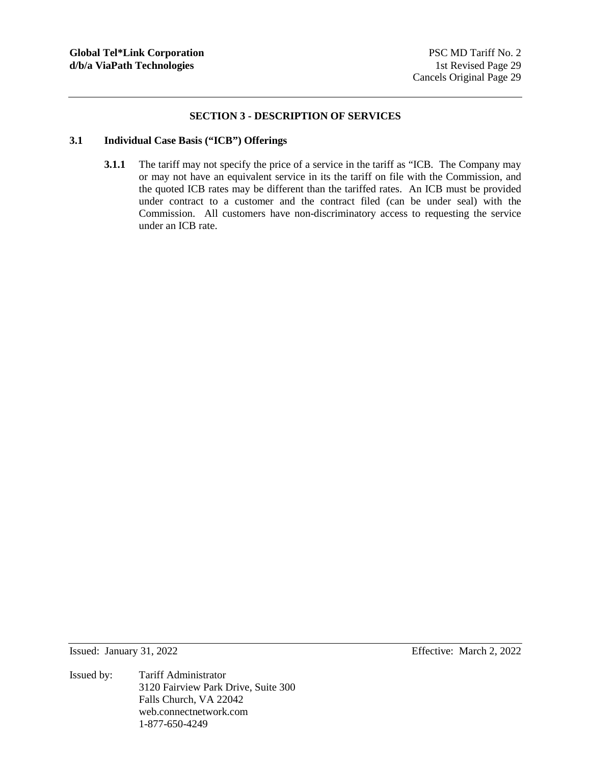## **SECTION 3 - DESCRIPTION OF SERVICES**

# **3.1 Individual Case Basis ("ICB") Offerings**

**3.1.1** The tariff may not specify the price of a service in the tariff as "ICB. The Company may or may not have an equivalent service in its the tariff on file with the Commission, and the quoted ICB rates may be different than the tariffed rates. An ICB must be provided under contract to a customer and the contract filed (can be under seal) with the Commission. All customers have non-discriminatory access to requesting the service under an ICB rate.

Issued: January 31, 2022 Effective: March 2, 2022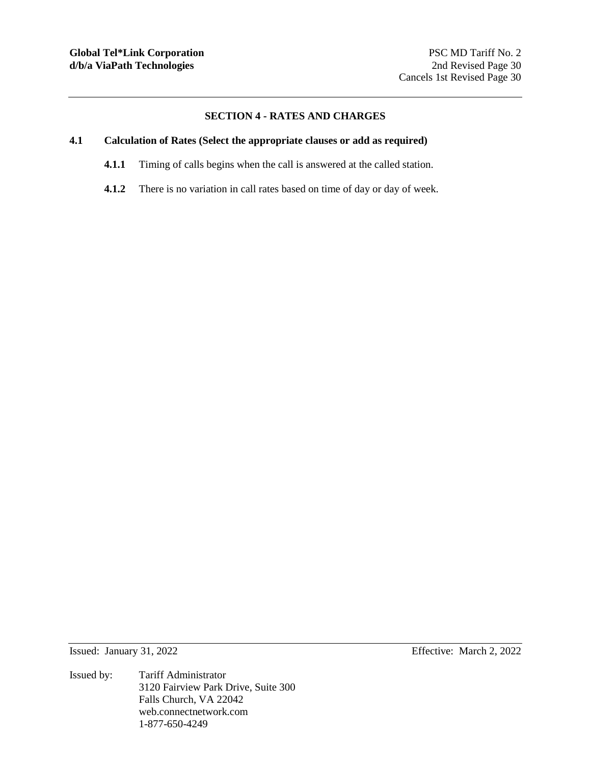## **SECTION 4 - RATES AND CHARGES**

# **4.1 Calculation of Rates (Select the appropriate clauses or add as required)**

- **4.1.1** Timing of calls begins when the call is answered at the called station.
- **4.1.2** There is no variation in call rates based on time of day or day of week.

Issued: January 31, 2022 Effective: March 2, 2022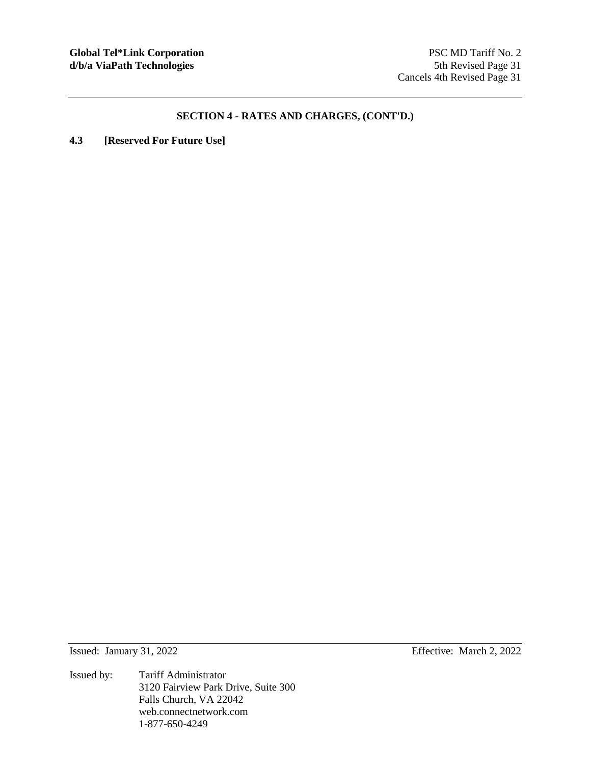**4.3 [Reserved For Future Use]** 

Issued by: Tariff Administrator 3120 Fairview Park Drive, Suite 300 Falls Church, VA 22042 web.connectnetwork.com 1-877-650-4249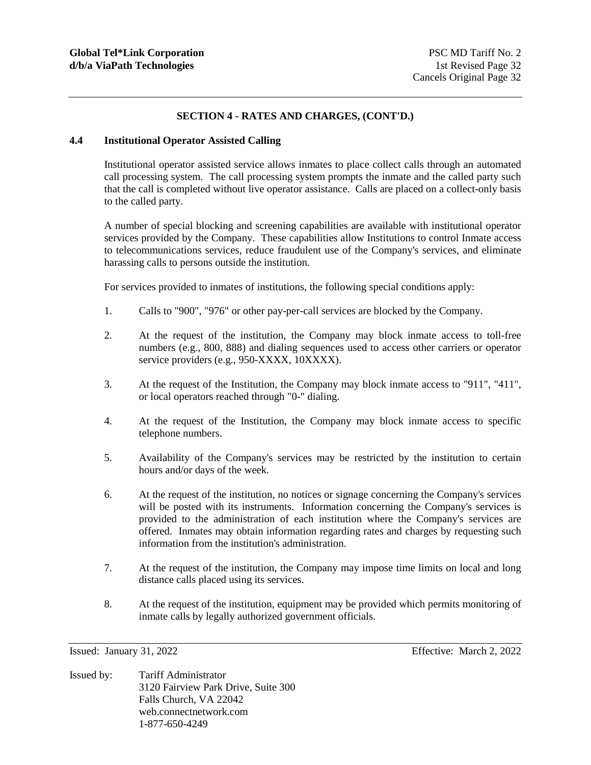## **4.4 Institutional Operator Assisted Calling**

Institutional operator assisted service allows inmates to place collect calls through an automated call processing system. The call processing system prompts the inmate and the called party such that the call is completed without live operator assistance. Calls are placed on a collect-only basis to the called party.

A number of special blocking and screening capabilities are available with institutional operator services provided by the Company. These capabilities allow Institutions to control Inmate access to telecommunications services, reduce fraudulent use of the Company's services, and eliminate harassing calls to persons outside the institution.

For services provided to inmates of institutions, the following special conditions apply:

- 1. Calls to "900", "976" or other pay-per-call services are blocked by the Company.
- 2. At the request of the institution, the Company may block inmate access to toll-free numbers (e.g., 800, 888) and dialing sequences used to access other carriers or operator service providers (e.g., 950-XXXX, 10XXXX).
- 3. At the request of the Institution, the Company may block inmate access to "911", "411", or local operators reached through "0-" dialing.
- 4. At the request of the Institution, the Company may block inmate access to specific telephone numbers.
- 5. Availability of the Company's services may be restricted by the institution to certain hours and/or days of the week.
- 6. At the request of the institution, no notices or signage concerning the Company's services will be posted with its instruments. Information concerning the Company's services is provided to the administration of each institution where the Company's services are offered. Inmates may obtain information regarding rates and charges by requesting such information from the institution's administration.
- 7. At the request of the institution, the Company may impose time limits on local and long distance calls placed using its services.
- 8. At the request of the institution, equipment may be provided which permits monitoring of inmate calls by legally authorized government officials.

Issued: January 31, 2022 Effective: March 2, 2022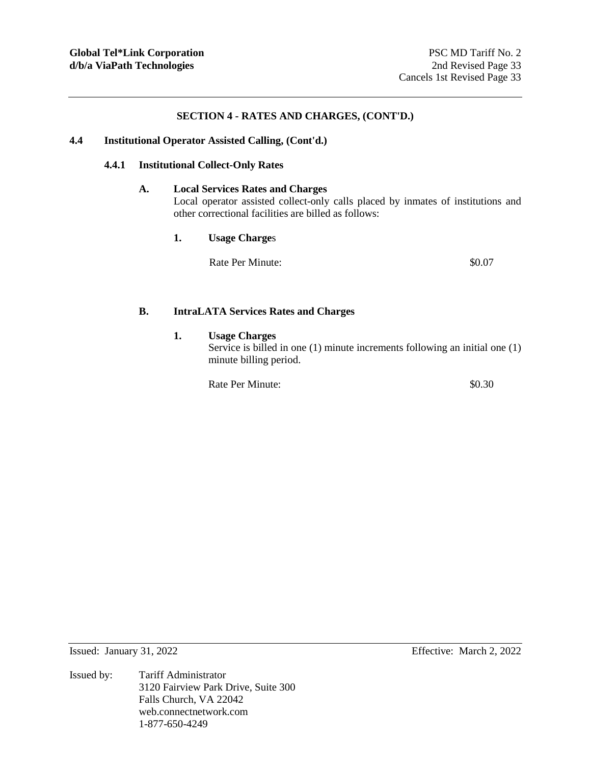## **4.4 Institutional Operator Assisted Calling, (Cont'd.)**

## **4.4.1 Institutional Collect-Only Rates**

## **A. Local Services Rates and Charges**

Local operator assisted collect-only calls placed by inmates of institutions and other correctional facilities are billed as follows:

**1. Usage Charge**s

Rate Per Minute:  $\text{80.07}$ 

#### **B. IntraLATA Services Rates and Charges**

## **1. Usage Charges**

Service is billed in one (1) minute increments following an initial one (1) minute billing period.

Rate Per Minute:  $\$0.30$ 

Issued by: Tariff Administrator 3120 Fairview Park Drive, Suite 300 Falls Church, VA 22042 web.connectnetwork.com 1-877-650-4249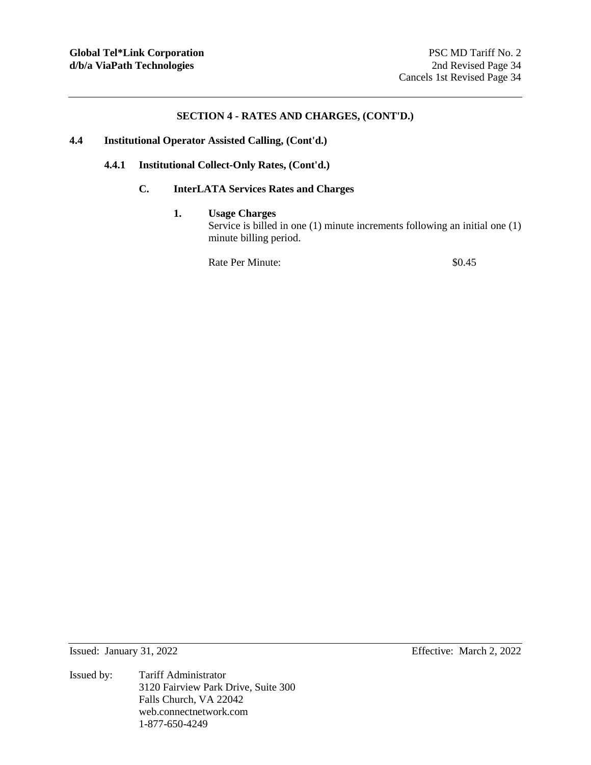## **4.4 Institutional Operator Assisted Calling, (Cont'd.)**

## **4.4.1 Institutional Collect-Only Rates, (Cont'd.)**

# **C. InterLATA Services Rates and Charges**

## **1. Usage Charges**

Service is billed in one (1) minute increments following an initial one (1) minute billing period.

Rate Per Minute:  $\$0.45$ 

Issued: January 31, 2022 Effective: March 2, 2022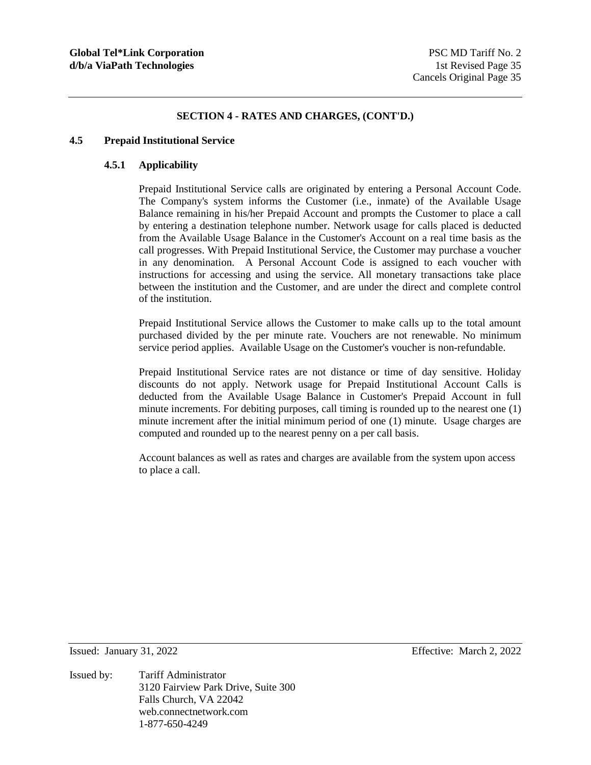#### **4.5 Prepaid Institutional Service**

# **4.5.1 Applicability**

Prepaid Institutional Service calls are originated by entering a Personal Account Code. The Company's system informs the Customer (i.e., inmate) of the Available Usage Balance remaining in his/her Prepaid Account and prompts the Customer to place a call by entering a destination telephone number. Network usage for calls placed is deducted from the Available Usage Balance in the Customer's Account on a real time basis as the call progresses. With Prepaid Institutional Service, the Customer may purchase a voucher in any denomination. A Personal Account Code is assigned to each voucher with instructions for accessing and using the service. All monetary transactions take place between the institution and the Customer, and are under the direct and complete control of the institution.

Prepaid Institutional Service allows the Customer to make calls up to the total amount purchased divided by the per minute rate. Vouchers are not renewable. No minimum service period applies. Available Usage on the Customer's voucher is non-refundable.

Prepaid Institutional Service rates are not distance or time of day sensitive. Holiday discounts do not apply. Network usage for Prepaid Institutional Account Calls is deducted from the Available Usage Balance in Customer's Prepaid Account in full minute increments. For debiting purposes, call timing is rounded up to the nearest one (1) minute increment after the initial minimum period of one (1) minute. Usage charges are computed and rounded up to the nearest penny on a per call basis.

Account balances as well as rates and charges are available from the system upon access to place a call.

Issued by: Tariff Administrator 3120 Fairview Park Drive, Suite 300 Falls Church, VA 22042 web.connectnetwork.com 1-877-650-4249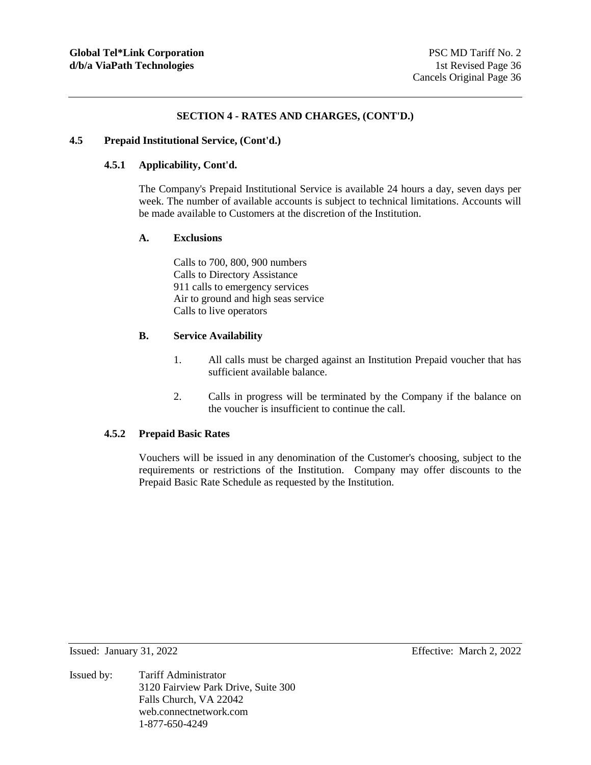## **4.5 Prepaid Institutional Service, (Cont'd.)**

# **4.5.1 Applicability, Cont'd.**

The Company's Prepaid Institutional Service is available 24 hours a day, seven days per week. The number of available accounts is subject to technical limitations. Accounts will be made available to Customers at the discretion of the Institution.

#### **A. Exclusions**

Calls to 700, 800, 900 numbers Calls to Directory Assistance 911 calls to emergency services Air to ground and high seas service Calls to live operators

## **B. Service Availability**

- 1. All calls must be charged against an Institution Prepaid voucher that has sufficient available balance.
- 2. Calls in progress will be terminated by the Company if the balance on the voucher is insufficient to continue the call.

#### **4.5.2 Prepaid Basic Rates**

Vouchers will be issued in any denomination of the Customer's choosing, subject to the requirements or restrictions of the Institution. Company may offer discounts to the Prepaid Basic Rate Schedule as requested by the Institution.

Issued: January 31, 2022 Effective: March 2, 2022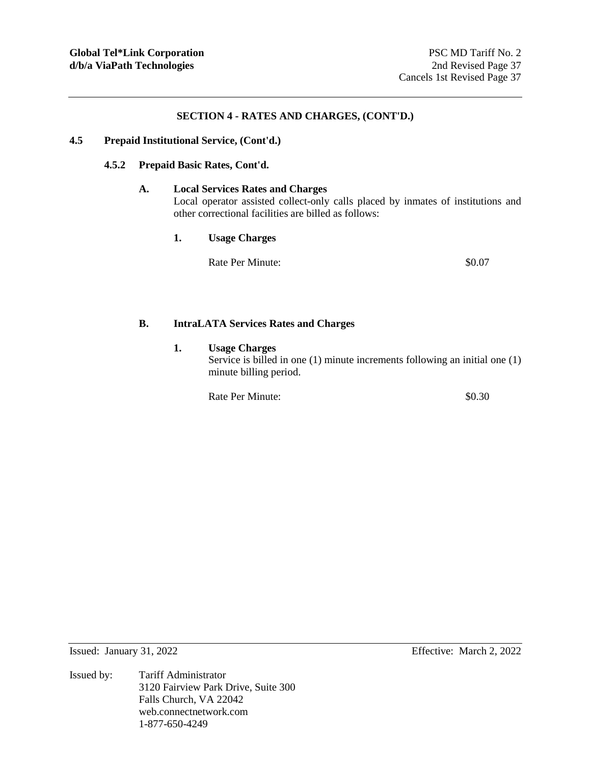## **4.5 Prepaid Institutional Service, (Cont'd.)**

## **4.5.2 Prepaid Basic Rates, Cont'd.**

#### **A. Local Services Rates and Charges**

Local operator assisted collect-only calls placed by inmates of institutions and other correctional facilities are billed as follows:

**1. Usage Charges** 

Rate Per Minute:  $\text{80.07}$ 

## **B. IntraLATA Services Rates and Charges**

# **1. Usage Charges**

Service is billed in one (1) minute increments following an initial one (1) minute billing period.

Rate Per Minute:  $\$0.30$ 

Issued: January 31, 2022 Effective: March 2, 2022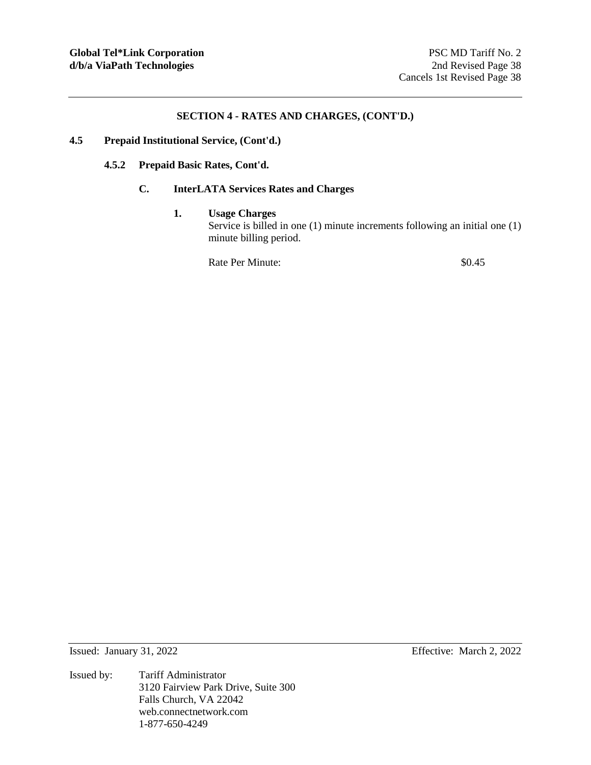## **4.5 Prepaid Institutional Service, (Cont'd.)**

## **4.5.2 Prepaid Basic Rates, Cont'd.**

# **C. InterLATA Services Rates and Charges**

## **1. Usage Charges**

Service is billed in one (1) minute increments following an initial one (1) minute billing period.

Rate Per Minute:  $\qquad 80.45$ 

Issued: January 31, 2022 Effective: March 2, 2022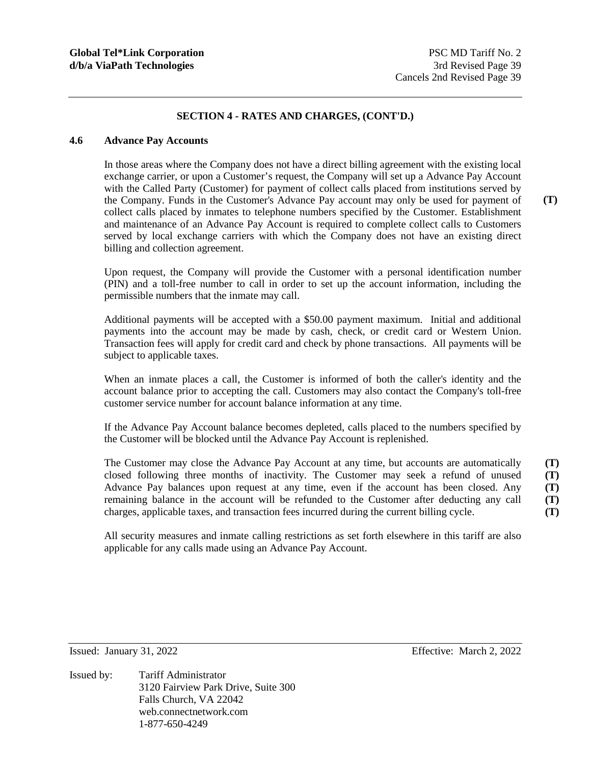#### **4.6 Advance Pay Accounts**

In those areas where the Company does not have a direct billing agreement with the existing local exchange carrier, or upon a Customer's request, the Company will set up a Advance Pay Account with the Called Party (Customer) for payment of collect calls placed from institutions served by the Company. Funds in the Customer's Advance Pay account may only be used for payment of collect calls placed by inmates to telephone numbers specified by the Customer. Establishment and maintenance of an Advance Pay Account is required to complete collect calls to Customers served by local exchange carriers with which the Company does not have an existing direct billing and collection agreement.

Upon request, the Company will provide the Customer with a personal identification number (PIN) and a toll-free number to call in order to set up the account information, including the permissible numbers that the inmate may call.

Additional payments will be accepted with a \$50.00 payment maximum. Initial and additional payments into the account may be made by cash, check, or credit card or Western Union. Transaction fees will apply for credit card and check by phone transactions. All payments will be subject to applicable taxes.

When an inmate places a call, the Customer is informed of both the caller's identity and the account balance prior to accepting the call. Customers may also contact the Company's toll-free customer service number for account balance information at any time.

If the Advance Pay Account balance becomes depleted, calls placed to the numbers specified by the Customer will be blocked until the Advance Pay Account is replenished.

The Customer may close the Advance Pay Account at any time, but accounts are automatically closed following three months of inactivity. The Customer may seek a refund of unused Advance Pay balances upon request at any time, even if the account has been closed. Any remaining balance in the account will be refunded to the Customer after deducting any call charges, applicable taxes, and transaction fees incurred during the current billing cycle. **(T) (T) (T) (T) (T)** 

All security measures and inmate calling restrictions as set forth elsewhere in this tariff are also applicable for any calls made using an Advance Pay Account.

Issued by: Tariff Administrator 3120 Fairview Park Drive, Suite 300 Falls Church, VA 22042 web.connectnetwork.com 1-877-650-4249

Issued: January 31, 2022 Effective: March 2, 2022

**(T)**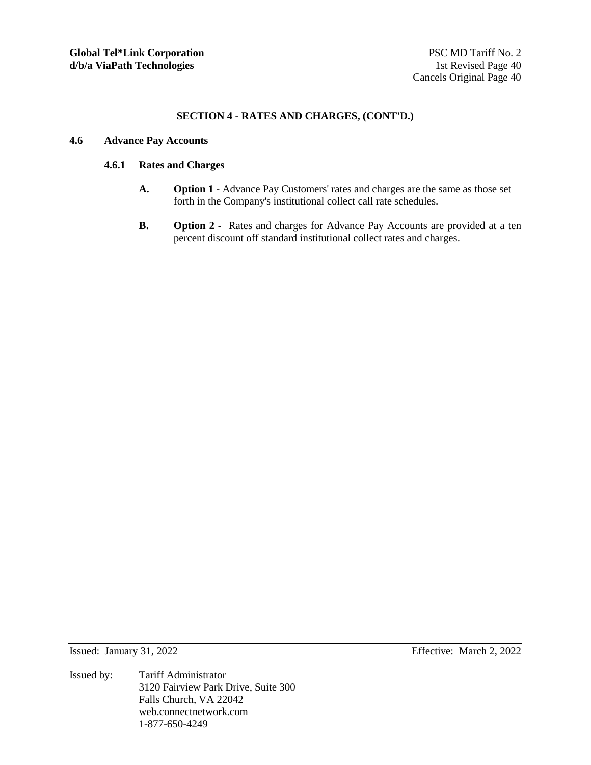## **4.6 Advance Pay Accounts**

## **4.6.1 Rates and Charges**

- **A. Option 1** Advance Pay Customers' rates and charges are the same as those set forth in the Company's institutional collect call rate schedules.
- **B. Option 2** Rates and charges for Advance Pay Accounts are provided at a ten percent discount off standard institutional collect rates and charges.

Issued: January 31, 2022 Effective: March 2, 2022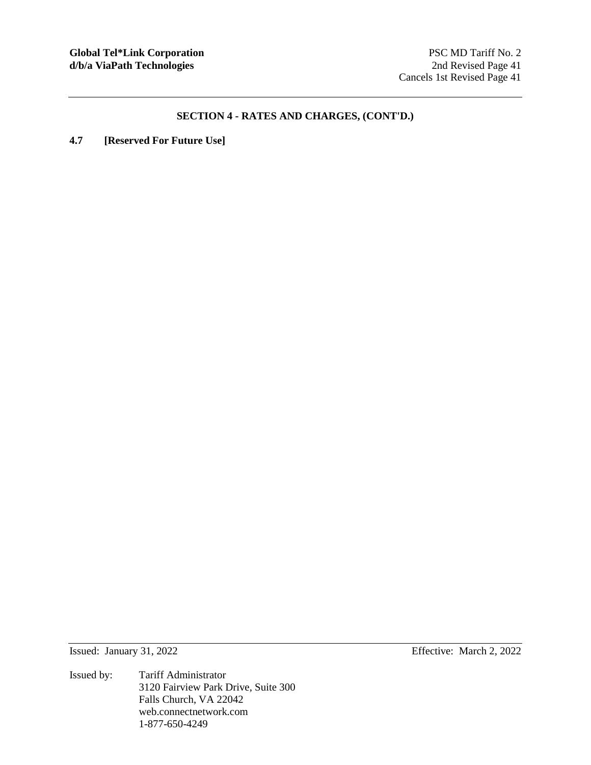**4.7 [Reserved For Future Use]** 

Issued by: Tariff Administrator 3120 Fairview Park Drive, Suite 300 Falls Church, VA 22042 web.connectnetwork.com 1-877-650-4249